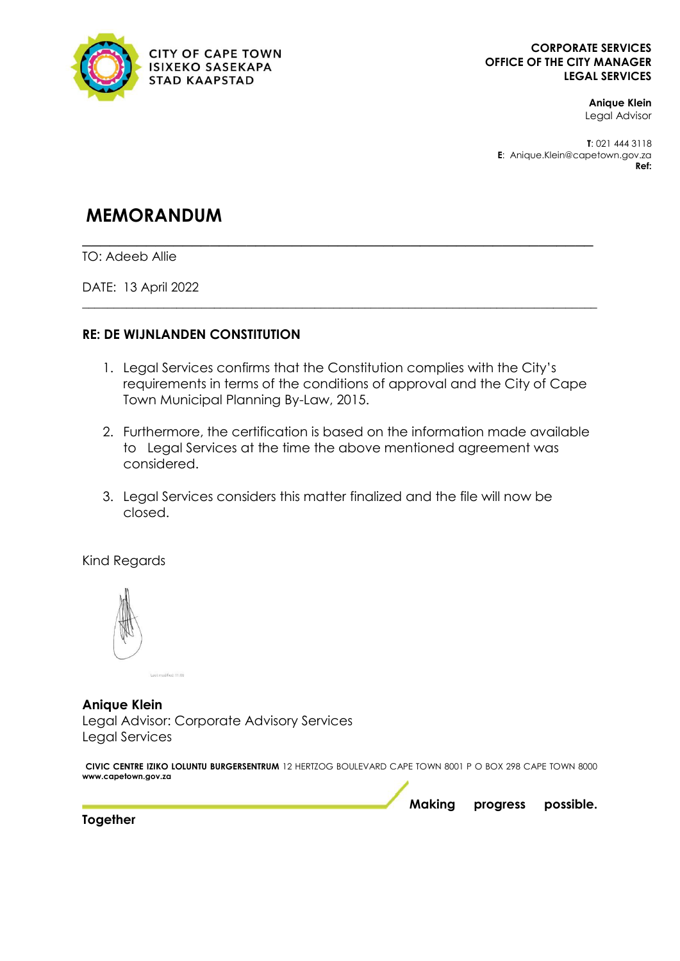

## **Anique Klein**  Legal Advisor

**T**: 021 444 3118 **E**: Anique.Klein@capetown.gov.za **Ref:** 

# **MEMORANDUM**

**\_\_\_\_\_\_\_\_\_\_\_\_\_\_\_\_\_\_\_\_\_\_\_\_\_\_\_\_\_\_\_\_\_\_\_\_\_\_\_\_\_\_\_\_\_\_\_\_\_\_\_\_\_\_\_\_** TO: Adeeb Allie

DATE: 13 April 2022

## **RE: DE WIJNLANDEN CONSTITUTION**

1. Legal Services confirms that the Constitution complies with the City's requirements in terms of the conditions of approval and the City of Cape Town Municipal Planning By-Law, 2015.

\_\_\_\_\_\_\_\_\_\_\_\_\_\_\_\_\_\_\_\_\_\_\_\_\_\_\_\_\_\_\_\_\_\_\_\_\_\_\_\_\_\_\_\_\_\_\_\_\_\_\_\_\_\_\_\_\_\_\_\_\_\_\_\_\_\_\_\_\_\_\_\_\_\_\_\_\_\_\_\_\_\_

- 2. Furthermore, the certification is based on the information made available to Legal Services at the time the above mentioned agreement was considered.
- 3. Legal Services considers this matter finalized and the file will now be closed.

Kind Regards



**Anique Klein**  Legal Advisor: Corporate Advisory Services Legal Services

**CIVIC CENTRE IZIKO LOLUNTU BURGERSENTRUM** 12 HERTZOG BOULEVARD CAPE TOWN 8001 P O BOX 298 CAPE TOWN 8000 **www.capetown.gov.za**

**Making progress possible.** 

**Together**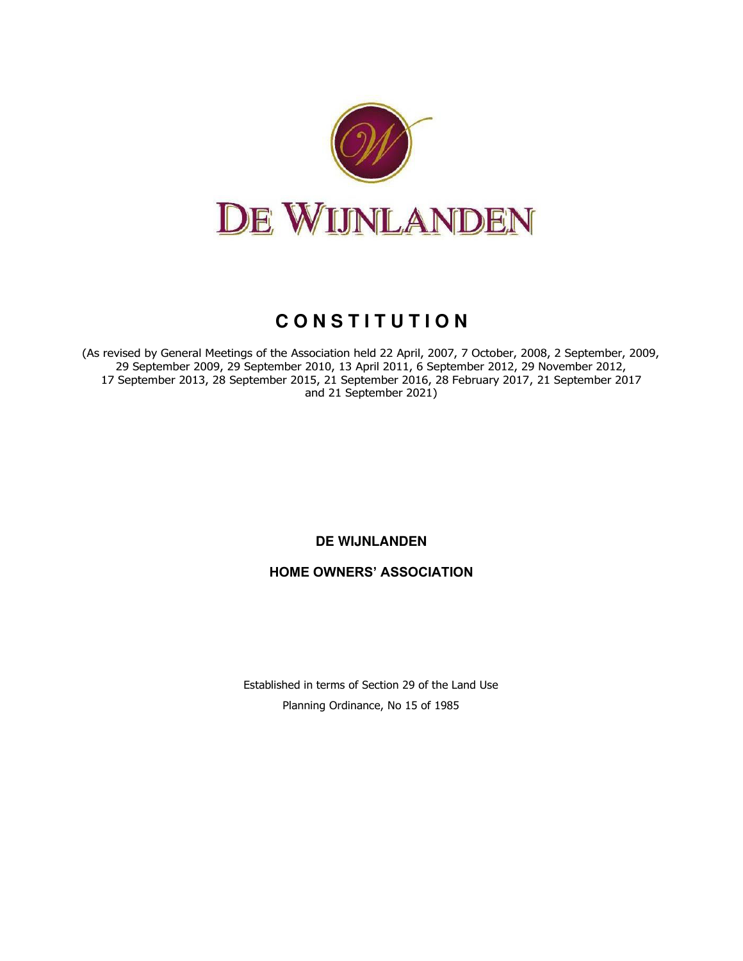

# **C O N S T I T U T I O N**

(As revised by General Meetings of the Association held 22 April, 2007, 7 October, 2008, 2 September, 2009, 29 September 2009, 29 September 2010, 13 April 2011, 6 September 2012, 29 November 2012, 17 September 2013, 28 September 2015, 21 September 2016, 28 February 2017, 21 September 2017 and 21 September 2021)

**DE WIJNLANDEN** 

**HOME OWNERS' ASSOCIATION**

Established in terms of Section 29 of the Land Use Planning Ordinance, No 15 of 1985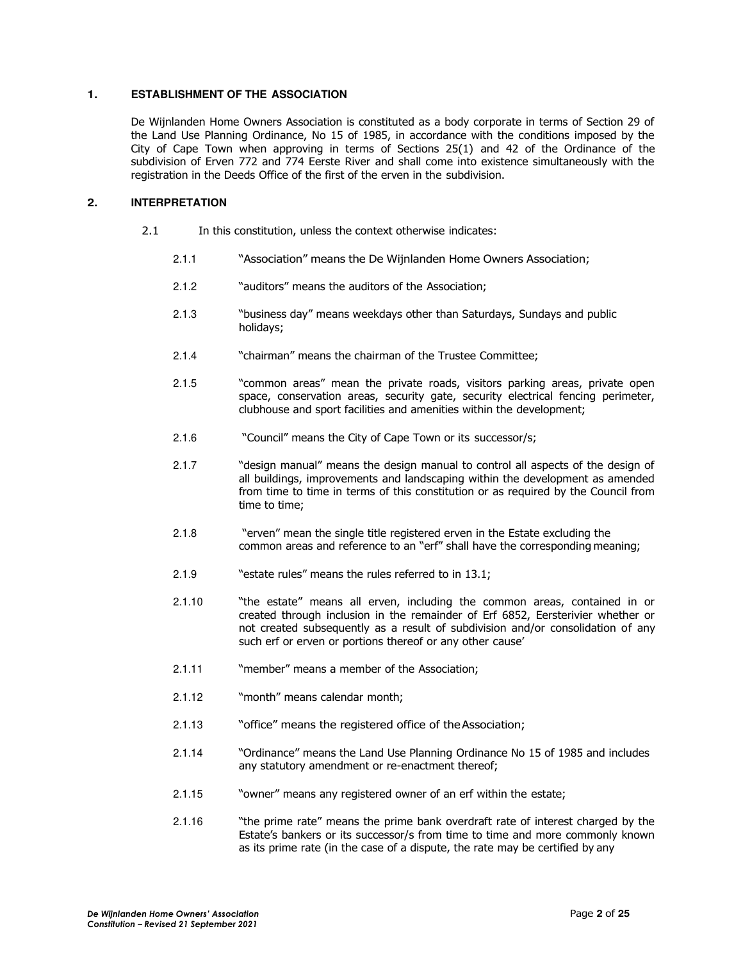## **1. ESTABLISHMENT OF THE ASSOCIATION**

De Wijnlanden Home Owners Association is constituted as a body corporate in terms of Section 29 of the Land Use Planning Ordinance, No 15 of 1985, in accordance with the conditions imposed by the City of Cape Town when approving in terms of Sections 25(1) and 42 of the Ordinance of the subdivision of Erven 772 and 774 Eerste River and shall come into existence simultaneously with the registration in the Deeds Office of the first of the erven in the subdivision.

## **2. INTERPRETATION**

- 2.1 In this constitution, unless the context otherwise indicates:
	- 2.1.1 "Association" means the De Wijnlanden Home Owners Association;
	- 2.1.2 "auditors" means the auditors of the Association;
	- 2.1.3 "business day" means weekdays other than Saturdays, Sundays and public holidays;
	- 2.1.4 "chairman" means the chairman of the Trustee Committee;
	- 2.1.5 "common areas" mean the private roads, visitors parking areas, private open space, conservation areas, security gate, security electrical fencing perimeter, clubhouse and sport facilities and amenities within the development;
	- 2.1.6 "Council" means the City of Cape Town or its successor/s;
	- 2.1.7 "design manual" means the design manual to control all aspects of the design of all buildings, improvements and landscaping within the development as amended from time to time in terms of this constitution or as required by the Council from time to time;
	- 2.1.8 "erven" mean the single title registered erven in the Estate excluding the common areas and reference to an "erf" shall have the corresponding meaning;
	- 2.1.9 "estate rules" means the rules referred to in 13.1;
	- 2.1.10 "the estate" means all erven, including the common areas, contained in or created through inclusion in the remainder of Erf 6852, Eersterivier whether or not created subsequently as a result of subdivision and/or consolidation of any such erf or erven or portions thereof or any other cause'
	- 2.1.11 "member" means a member of the Association;
	- 2.1.12 "month" means calendar month;
	- 2.1.13 "office" means the registered office of the Association;
	- 2.1.14 "Ordinance" means the Land Use Planning Ordinance No 15 of 1985 and includes any statutory amendment or re-enactment thereof;
	- 2.1.15 "owner" means any registered owner of an erf within the estate;
	- 2.1.16 "the prime rate" means the prime bank overdraft rate of interest charged by the Estate's bankers or its successor/s from time to time and more commonly known as its prime rate (in the case of a dispute, the rate may be certified by any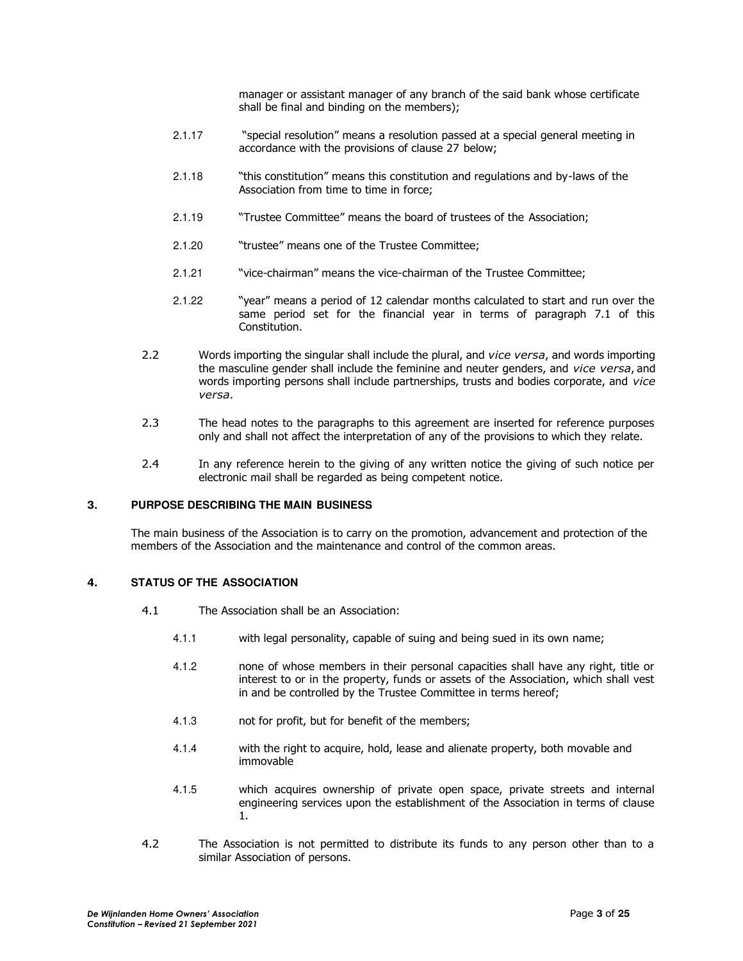manager or assistant manager of any branch of the said bank whose certificate shall be final and binding on the members);

- 2.1.17 "special resolution" means a resolution passed at a special general meeting in accordance with the provisions of clause 27 below;
- 2.1.18 "this constitution" means this constitution and regulations and by-laws of the Association from time to time in force;
- 2.1.19 "Trustee Committee" means the board of trustees of the Association;
- 2.1.20 "trustee" means one of the Trustee Committee;
- 2.1.21 "vice-chairman" means the vice-chairman of the Trustee Committee;
- 2.1.22 "year" means a period of 12 calendar months calculated to start and run over the same period set for the financial year in terms of paragraph 7.1 of this Constitution.
- 2.2 Words importing the singular shall include the plural, and *vice versa*, and words importing the masculine gender shall include the feminine and neuter genders, and *vice versa*, and words importing persons shall include partnerships, trusts and bodies corporate, and *vice versa*.
- 2.3 The head notes to the paragraphs to this agreement are inserted for reference purposes only and shall not affect the interpretation of any of the provisions to which they relate.
- 2.4 In any reference herein to the giving of any written notice the giving of such notice per electronic mail shall be regarded as being competent notice.

### **3. PURPOSE DESCRIBING THE MAIN BUSINESS**

The main business of the Association is to carry on the promotion, advancement and protection of the members of the Association and the maintenance and control of the common areas.

## **4. STATUS OF THE ASSOCIATION**

- 4.1 The Association shall be an Association:
	- 4.1.1 with legal personality, capable of suing and being sued in its own name;
	- 4.1.2 none of whose members in their personal capacities shall have any right, title or interest to or in the property, funds or assets of the Association, which shall vest in and be controlled by the Trustee Committee in terms hereof;
	- 4.1.3 not for profit, but for benefit of the members;
	- 4.1.4 with the right to acquire, hold, lease and alienate property, both movable and immovable
	- 4.1.5 which acquires ownership of private open space, private streets and internal engineering services upon the establishment of the Association in terms of clause 1.
- 4.2 The Association is not permitted to distribute its funds to any person other than to a similar Association of persons.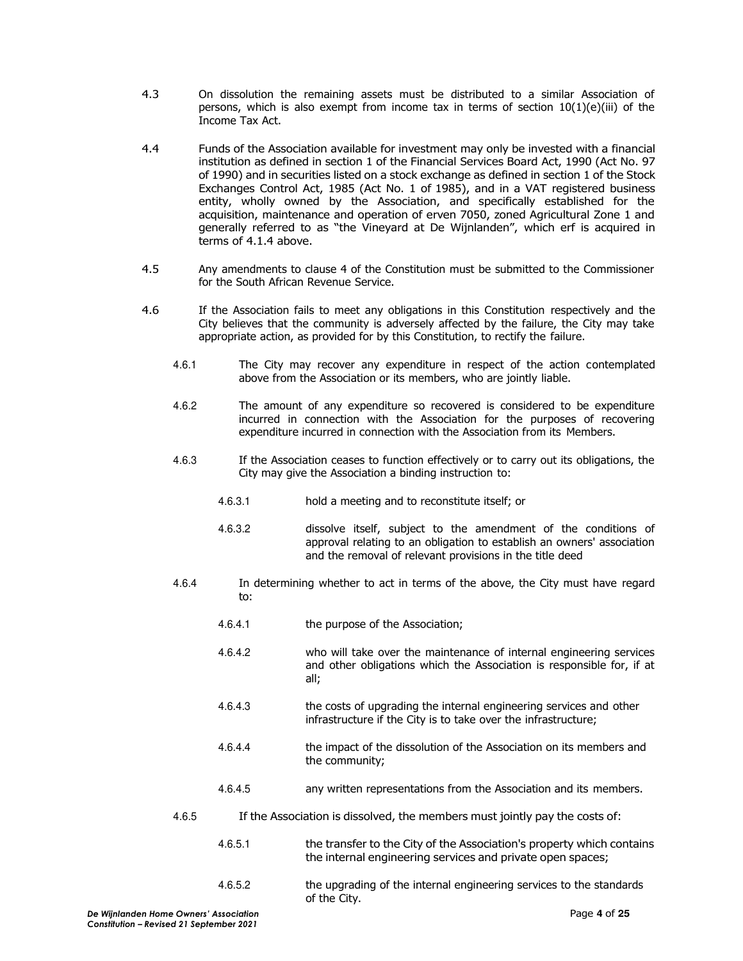- 4.3 On dissolution the remaining assets must be distributed to a similar Association of persons, which is also exempt from income tax in terms of section  $10(1)(e)(iii)$  of the Income Tax Act.
- 4.4 Funds of the Association available for investment may only be invested with a financial institution as defined in section 1 of the Financial Services Board Act, 1990 (Act No. 97 of 1990) and in securities listed on a stock exchange as defined in section 1 of the Stock Exchanges Control Act, 1985 (Act No. 1 of 1985), and in a VAT registered business entity, wholly owned by the Association, and specifically established for the acquisition, maintenance and operation of erven 7050, zoned Agricultural Zone 1 and generally referred to as "the Vineyard at De Wijnlanden", which erf is acquired in terms of 4.1.4 above.
- 4.5 Any amendments to clause 4 of the Constitution must be submitted to the Commissioner for the South African Revenue Service.
- 4.6 If the Association fails to meet any obligations in this Constitution respectively and the City believes that the community is adversely affected by the failure, the City may take appropriate action, as provided for by this Constitution, to rectify the failure.
	- 4.6.1 The City may recover any expenditure in respect of the action contemplated above from the Association or its members, who are jointly liable.
	- 4.6.2 The amount of any expenditure so recovered is considered to be expenditure incurred in connection with the Association for the purposes of recovering expenditure incurred in connection with the Association from its Members.
	- 4.6.3 If the Association ceases to function effectively or to carry out its obligations, the City may give the Association a binding instruction to:
		- 4.6.3.1 hold a meeting and to reconstitute itself; or
		- 4.6.3.2 dissolve itself, subject to the amendment of the conditions of approval relating to an obligation to establish an owners' association and the removal of relevant provisions in the title deed
	- 4.6.4 In determining whether to act in terms of the above, the City must have regard to:
		- 4.6.4.1 the purpose of the Association;
		- 4.6.4.2 who will take over the maintenance of internal engineering services and other obligations which the Association is responsible for, if at all;
		- 4.6.4.3 the costs of upgrading the internal engineering services and other infrastructure if the City is to take over the infrastructure;
		- 4.6.4.4 the impact of the dissolution of the Association on its members and the community;
		- 4.6.4.5 any written representations from the Association and its members.
	- 4.6.5 If the Association is dissolved, the members must jointly pay the costs of:
		- 4.6.5.1 the transfer to the City of the Association's property which contains the internal engineering services and private open spaces;
		- 4.6.5.2 the upgrading of the internal engineering services to the standards of the City.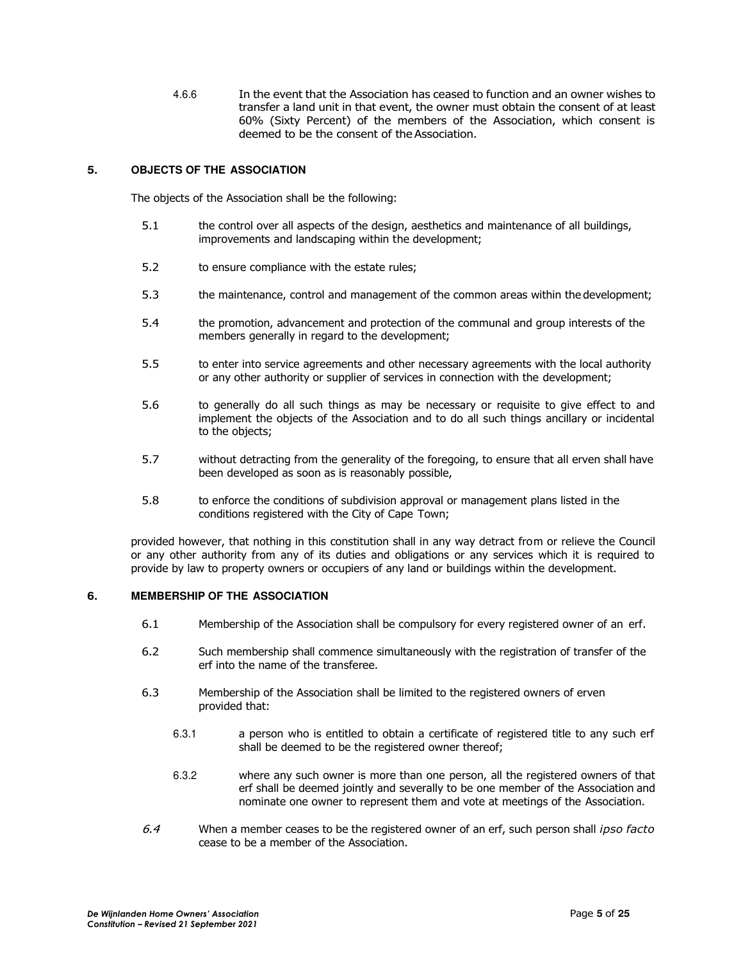4.6.6 In the event that the Association has ceased to function and an owner wishes to transfer a land unit in that event, the owner must obtain the consent of at least 60% (Sixty Percent) of the members of the Association, which consent is deemed to be the consent of the Association.

## **5. OBJECTS OF THE ASSOCIATION**

The objects of the Association shall be the following:

- 5.1 the control over all aspects of the design, aesthetics and maintenance of all buildings, improvements and landscaping within the development;
- 5.2 to ensure compliance with the estate rules;
- 5.3 the maintenance, control and management of the common areas within the development;
- 5.4 the promotion, advancement and protection of the communal and group interests of the members generally in regard to the development;
- 5.5 to enter into service agreements and other necessary agreements with the local authority or any other authority or supplier of services in connection with the development;
- 5.6 to generally do all such things as may be necessary or requisite to give effect to and implement the objects of the Association and to do all such things ancillary or incidental to the objects;
- 5.7 without detracting from the generality of the foregoing, to ensure that all erven shall have been developed as soon as is reasonably possible,
- 5.8 to enforce the conditions of subdivision approval or management plans listed in the conditions registered with the City of Cape Town;

provided however, that nothing in this constitution shall in any way detract from or relieve the Council or any other authority from any of its duties and obligations or any services which it is required to provide by law to property owners or occupiers of any land or buildings within the development.

#### **6. MEMBERSHIP OF THE ASSOCIATION**

- 6.1 Membership of the Association shall be compulsory for every registered owner of an erf.
- 6.2 Such membership shall commence simultaneously with the registration of transfer of the erf into the name of the transferee.
- 6.3 Membership of the Association shall be limited to the registered owners of erven provided that:
	- 6.3.1 a person who is entitled to obtain a certificate of registered title to any such erf shall be deemed to be the registered owner thereof;
	- 6.3.2 where any such owner is more than one person, all the registered owners of that erf shall be deemed jointly and severally to be one member of the Association and nominate one owner to represent them and vote at meetings of the Association.
- 6.4 When a member ceases to be the registered owner of an erf, such person shall *ipso facto* cease to be a member of the Association.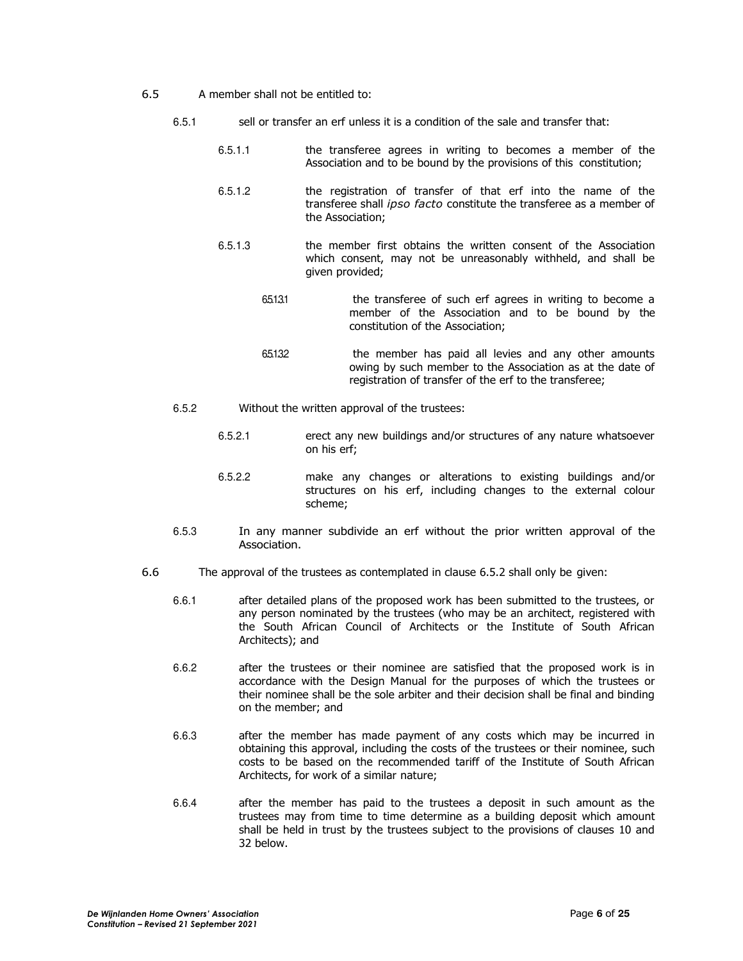- 6.5 A member shall not be entitled to:
	- 6.5.1 sell or transfer an erf unless it is a condition of the sale and transfer that:
		- 6.5.1.1 the transferee agrees in writing to becomes a member of the Association and to be bound by the provisions of this constitution;
		- 6.5.1.2 the registration of transfer of that erf into the name of the transferee shall *ipso facto* constitute the transferee as a member of the Association;
		- 6.5.1.3 the member first obtains the written consent of the Association which consent, may not be unreasonably withheld, and shall be given provided;
			- 6.5.1.3.1 the transferee of such erf agrees in writing to become a member of the Association and to be bound by the constitution of the Association;
			- 6.5.1.3.2 the member has paid all levies and any other amounts owing by such member to the Association as at the date of registration of transfer of the erf to the transferee;
	- 6.5.2 Without the written approval of the trustees:
		- 6.5.2.1 erect any new buildings and/or structures of any nature whatsoever on his erf;
		- 6.5.2.2 make any changes or alterations to existing buildings and/or structures on his erf, including changes to the external colour scheme;
	- 6.5.3 In any manner subdivide an erf without the prior written approval of the Association.
- 6.6 The approval of the trustees as contemplated in clause 6.5.2 shall only be given:
	- 6.6.1 after detailed plans of the proposed work has been submitted to the trustees, or any person nominated by the trustees (who may be an architect, registered with the South African Council of Architects or the Institute of South African Architects); and
	- 6.6.2 after the trustees or their nominee are satisfied that the proposed work is in accordance with the Design Manual for the purposes of which the trustees or their nominee shall be the sole arbiter and their decision shall be final and binding on the member; and
	- 6.6.3 after the member has made payment of any costs which may be incurred in obtaining this approval, including the costs of the trustees or their nominee, such costs to be based on the recommended tariff of the Institute of South African Architects, for work of a similar nature;
	- 6.6.4 after the member has paid to the trustees a deposit in such amount as the trustees may from time to time determine as a building deposit which amount shall be held in trust by the trustees subject to the provisions of clauses 10 and 32 below.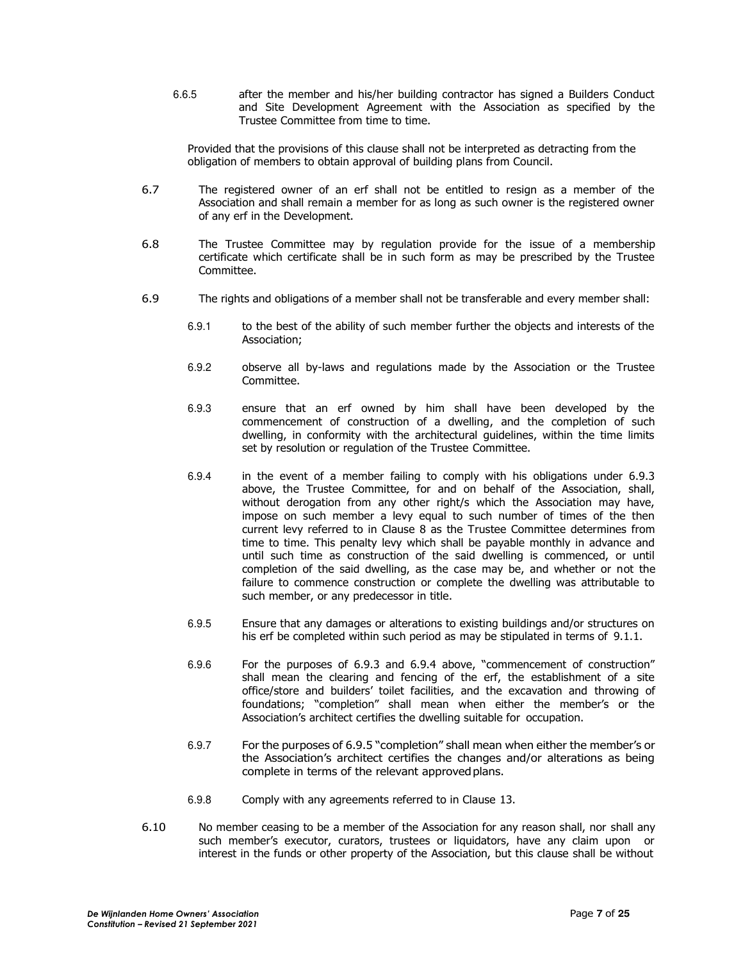6.6.5 after the member and his/her building contractor has signed a Builders Conduct and Site Development Agreement with the Association as specified by the Trustee Committee from time to time.

Provided that the provisions of this clause shall not be interpreted as detracting from the obligation of members to obtain approval of building plans from Council.

- 6.7 The registered owner of an erf shall not be entitled to resign as a member of the Association and shall remain a member for as long as such owner is the registered owner of any erf in the Development.
- 6.8 The Trustee Committee may by regulation provide for the issue of a membership certificate which certificate shall be in such form as may be prescribed by the Trustee Committee.
- 6.9 The rights and obligations of a member shall not be transferable and every member shall:
	- 6.9.1 to the best of the ability of such member further the objects and interests of the Association;
	- 6.9.2 observe all by-laws and regulations made by the Association or the Trustee Committee.
	- 6.9.3 ensure that an erf owned by him shall have been developed by the commencement of construction of a dwelling, and the completion of such dwelling, in conformity with the architectural guidelines, within the time limits set by resolution or regulation of the Trustee Committee.
	- 6.9.4 in the event of a member failing to comply with his obligations under 6.9.3 above, the Trustee Committee, for and on behalf of the Association, shall, without derogation from any other right/s which the Association may have, impose on such member a levy equal to such number of times of the then current levy referred to in Clause 8 as the Trustee Committee determines from time to time. This penalty levy which shall be payable monthly in advance and until such time as construction of the said dwelling is commenced, or until completion of the said dwelling, as the case may be, and whether or not the failure to commence construction or complete the dwelling was attributable to such member, or any predecessor in title.
	- 6.9.5 Ensure that any damages or alterations to existing buildings and/or structures on his erf be completed within such period as may be stipulated in terms of 9.1.1.
	- 6.9.6 For the purposes of 6.9.3 and 6.9.4 above, "commencement of construction" shall mean the clearing and fencing of the erf, the establishment of a site office/store and builders' toilet facilities, and the excavation and throwing of foundations; "completion" shall mean when either the member's or the Association's architect certifies the dwelling suitable for occupation.
	- 6.9.7 For the purposes of 6.9.5 "completion" shall mean when either the member's or the Association's architect certifies the changes and/or alterations as being complete in terms of the relevant approved plans.
	- 6.9.8 Comply with any agreements referred to in Clause 13.
- 6.10 No member ceasing to be a member of the Association for any reason shall, nor shall any such member's executor, curators, trustees or liquidators, have any claim upon or interest in the funds or other property of the Association, but this clause shall be without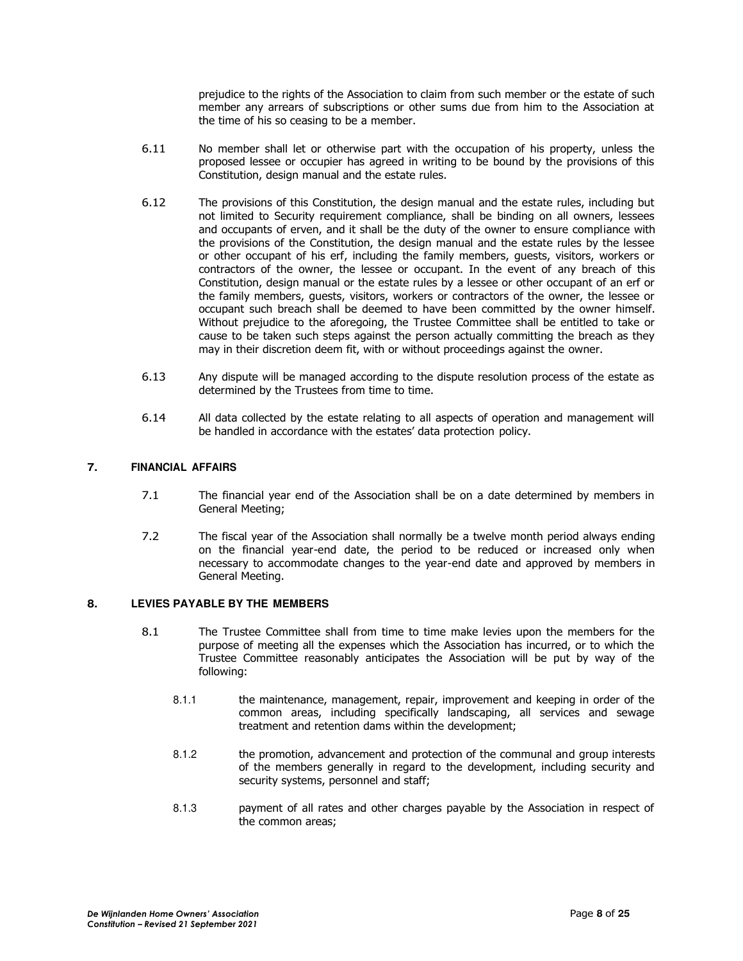prejudice to the rights of the Association to claim from such member or the estate of such member any arrears of subscriptions or other sums due from him to the Association at the time of his so ceasing to be a member.

- 6.11 No member shall let or otherwise part with the occupation of his property, unless the proposed lessee or occupier has agreed in writing to be bound by the provisions of this Constitution, design manual and the estate rules.
- 6.12 The provisions of this Constitution, the design manual and the estate rules, including but not limited to Security requirement compliance, shall be binding on all owners, lessees and occupants of erven, and it shall be the duty of the owner to ensure compliance with the provisions of the Constitution, the design manual and the estate rules by the lessee or other occupant of his erf, including the family members, guests, visitors, workers or contractors of the owner, the lessee or occupant. In the event of any breach of this Constitution, design manual or the estate rules by a lessee or other occupant of an erf or the family members, guests, visitors, workers or contractors of the owner, the lessee or occupant such breach shall be deemed to have been committed by the owner himself. Without prejudice to the aforegoing, the Trustee Committee shall be entitled to take or cause to be taken such steps against the person actually committing the breach as they may in their discretion deem fit, with or without proceedings against the owner.
- 6.13 Any dispute will be managed according to the dispute resolution process of the estate as determined by the Trustees from time to time.
- 6.14 All data collected by the estate relating to all aspects of operation and management will be handled in accordance with the estates' data protection policy.

## **7. FINANCIAL AFFAIRS**

- 7.1 The financial year end of the Association shall be on a date determined by members in General Meeting;
- 7.2 The fiscal year of the Association shall normally be a twelve month period always ending on the financial year-end date, the period to be reduced or increased only when necessary to accommodate changes to the year-end date and approved by members in General Meeting.

## **8. LEVIES PAYABLE BY THE MEMBERS**

- 8.1 The Trustee Committee shall from time to time make levies upon the members for the purpose of meeting all the expenses which the Association has incurred, or to which the Trustee Committee reasonably anticipates the Association will be put by way of the following:
	- 8.1.1 the maintenance, management, repair, improvement and keeping in order of the common areas, including specifically landscaping, all services and sewage treatment and retention dams within the development;
	- 8.1.2 the promotion, advancement and protection of the communal and group interests of the members generally in regard to the development, including security and security systems, personnel and staff;
	- 8.1.3 payment of all rates and other charges payable by the Association in respect of the common areas;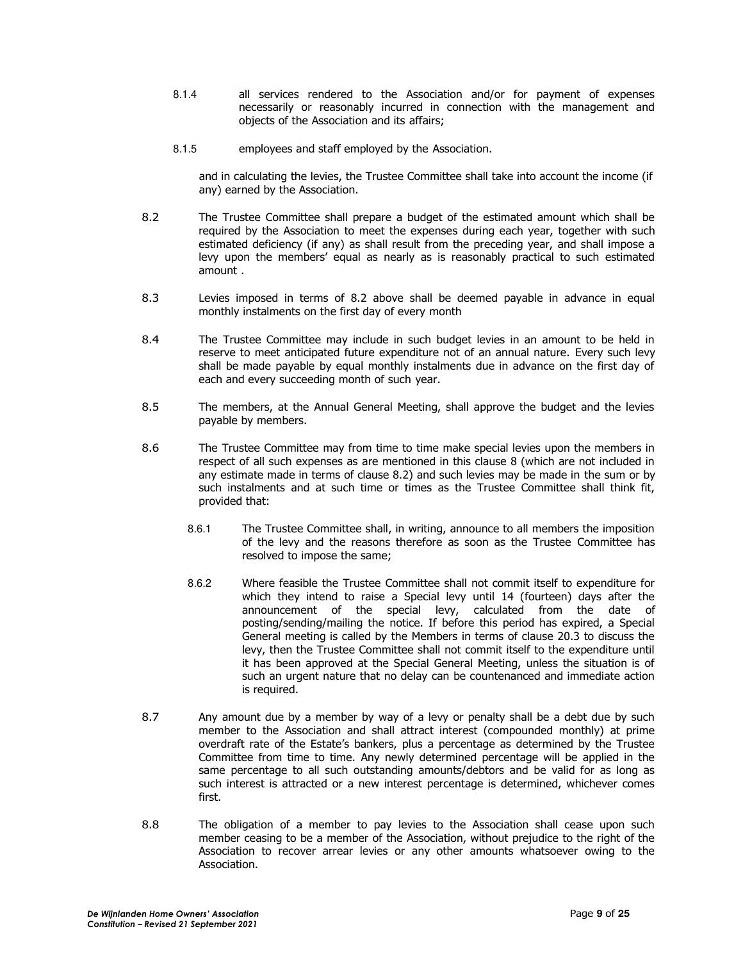- 8.1.4 all services rendered to the Association and/or for payment of expenses necessarily or reasonably incurred in connection with the management and objects of the Association and its affairs;
- 8.1.5 employees and staff employed by the Association.

and in calculating the levies, the Trustee Committee shall take into account the income (if any) earned by the Association.

- 8.2 The Trustee Committee shall prepare a budget of the estimated amount which shall be required by the Association to meet the expenses during each year, together with such estimated deficiency (if any) as shall result from the preceding year, and shall impose a levy upon the members' equal as nearly as is reasonably practical to such estimated amount .
- 8.3 Levies imposed in terms of 8.2 above shall be deemed payable in advance in equal monthly instalments on the first day of every month
- 8.4 The Trustee Committee may include in such budget levies in an amount to be held in reserve to meet anticipated future expenditure not of an annual nature. Every such levy shall be made payable by equal monthly instalments due in advance on the first day of each and every succeeding month of such year.
- 8.5 The members, at the Annual General Meeting, shall approve the budget and the levies payable by members.
- 8.6 The Trustee Committee may from time to time make special levies upon the members in respect of all such expenses as are mentioned in this clause 8 (which are not included in any estimate made in terms of clause 8.2) and such levies may be made in the sum or by such instalments and at such time or times as the Trustee Committee shall think fit, provided that:
	- 8.6.1 The Trustee Committee shall, in writing, announce to all members the imposition of the levy and the reasons therefore as soon as the Trustee Committee has resolved to impose the same;
	- 8.6.2 Where feasible the Trustee Committee shall not commit itself to expenditure for which they intend to raise a Special levy until 14 (fourteen) days after the announcement of the special levy, calculated from the date of posting/sending/mailing the notice. If before this period has expired, a Special General meeting is called by the Members in terms of clause 20.3 to discuss the levy, then the Trustee Committee shall not commit itself to the expenditure until it has been approved at the Special General Meeting, unless the situation is of such an urgent nature that no delay can be countenanced and immediate action is required.
- 8.7 Any amount due by a member by way of a levy or penalty shall be a debt due by such member to the Association and shall attract interest (compounded monthly) at prime overdraft rate of the Estate's bankers, plus a percentage as determined by the Trustee Committee from time to time. Any newly determined percentage will be applied in the same percentage to all such outstanding amounts/debtors and be valid for as long as such interest is attracted or a new interest percentage is determined, whichever comes first.
- 8.8 The obligation of a member to pay levies to the Association shall cease upon such member ceasing to be a member of the Association, without prejudice to the right of the Association to recover arrear levies or any other amounts whatsoever owing to the Association.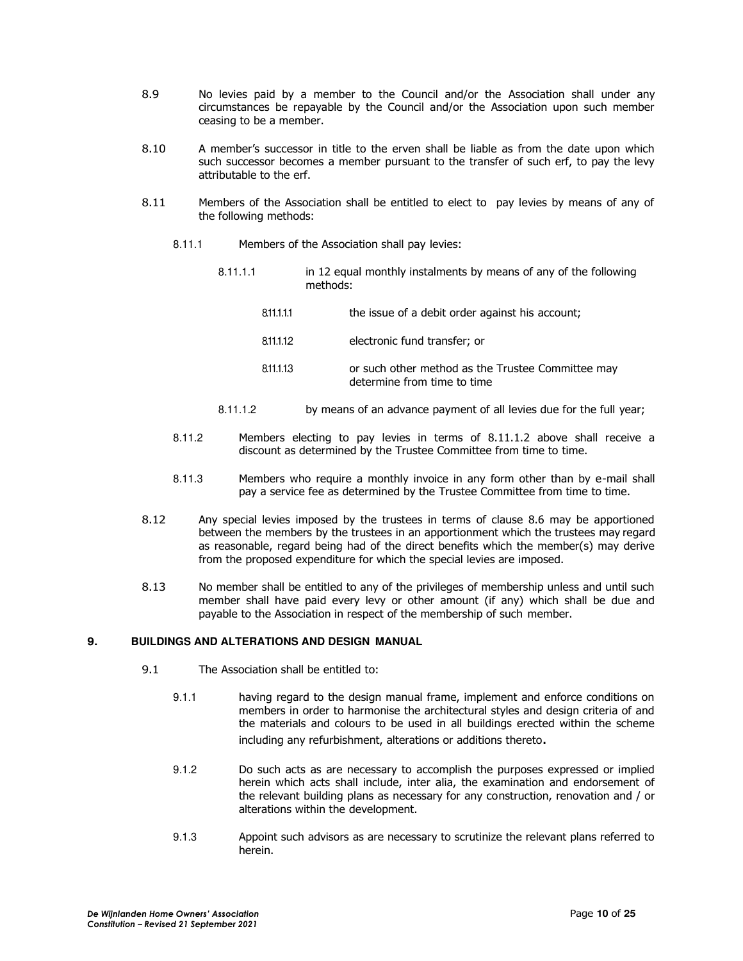- 8.9 No levies paid by a member to the Council and/or the Association shall under any circumstances be repayable by the Council and/or the Association upon such member ceasing to be a member.
- 8.10 A member's successor in title to the erven shall be liable as from the date upon which such successor becomes a member pursuant to the transfer of such erf, to pay the levy attributable to the erf.
- 8.11 Members of the Association shall be entitled to elect to pay levies by means of any of the following methods:
	- 8.11.1 Members of the Association shall pay levies:
		- 8.11.1.1 in 12 equal monthly instalments by means of any of the following methods:
			- 8.11.1.1.1 the issue of a debit order against his account;
			- 8.11.1.1.2 electronic fund transfer; or
			- 8.11.1.1.3 or such other method as the Trustee Committee may determine from time to time
		- 8.11.1.2 by means of an advance payment of all levies due for the full year;
	- 8.11.2 Members electing to pay levies in terms of 8.11.1.2 above shall receive a discount as determined by the Trustee Committee from time to time.
	- 8.11.3 Members who require a monthly invoice in any form other than by e-mail shall pay a service fee as determined by the Trustee Committee from time to time.
- 8.12 Any special levies imposed by the trustees in terms of clause 8.6 may be apportioned between the members by the trustees in an apportionment which the trustees may regard as reasonable, regard being had of the direct benefits which the member(s) may derive from the proposed expenditure for which the special levies are imposed.
- 8.13 No member shall be entitled to any of the privileges of membership unless and until such member shall have paid every levy or other amount (if any) which shall be due and payable to the Association in respect of the membership of such member.

## **9. BUILDINGS AND ALTERATIONS AND DESIGN MANUAL**

- 9.1 The Association shall be entitled to:
	- 9.1.1 having regard to the design manual frame, implement and enforce conditions on members in order to harmonise the architectural styles and design criteria of and the materials and colours to be used in all buildings erected within the scheme including any refurbishment, alterations or additions thereto.
	- 9.1.2 Do such acts as are necessary to accomplish the purposes expressed or implied herein which acts shall include, inter alia, the examination and endorsement of the relevant building plans as necessary for any construction, renovation and / or alterations within the development.
	- 9.1.3 Appoint such advisors as are necessary to scrutinize the relevant plans referred to herein.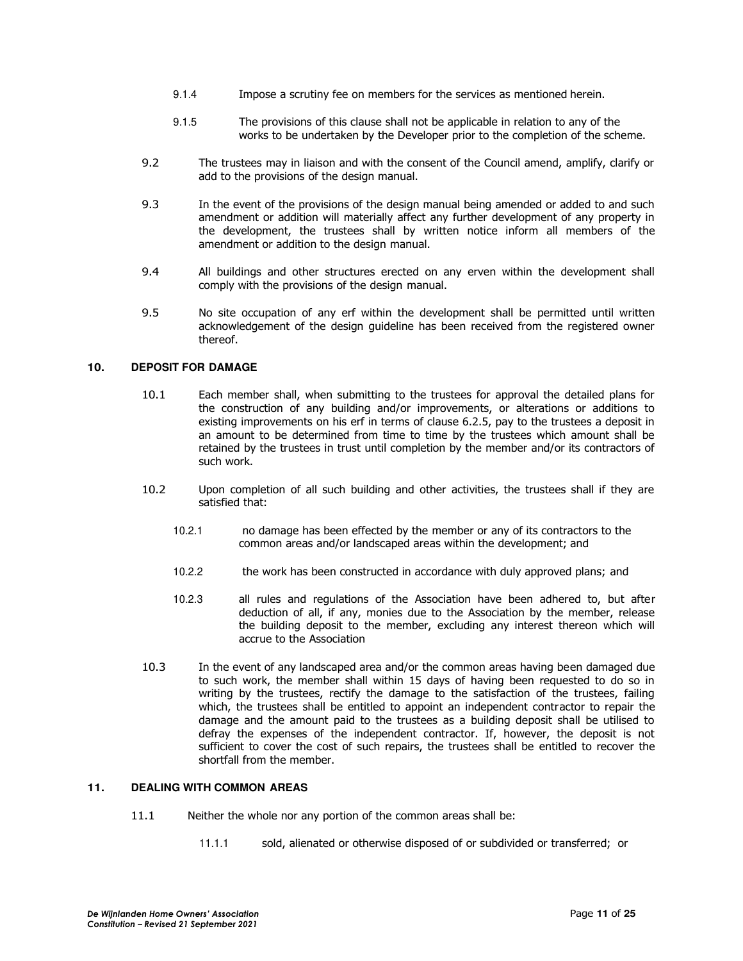- 9.1.4 Impose a scrutiny fee on members for the services as mentioned herein.
- 9.1.5 The provisions of this clause shall not be applicable in relation to any of the works to be undertaken by the Developer prior to the completion of the scheme.
- 9.2 The trustees may in liaison and with the consent of the Council amend, amplify, clarify or add to the provisions of the design manual.
- 9.3 In the event of the provisions of the design manual being amended or added to and such amendment or addition will materially affect any further development of any property in the development, the trustees shall by written notice inform all members of the amendment or addition to the design manual.
- 9.4 All buildings and other structures erected on any erven within the development shall comply with the provisions of the design manual.
- 9.5 No site occupation of any erf within the development shall be permitted until written acknowledgement of the design guideline has been received from the registered owner thereof.

## **10. DEPOSIT FOR DAMAGE**

- 10.1 Each member shall, when submitting to the trustees for approval the detailed plans for the construction of any building and/or improvements, or alterations or additions to existing improvements on his erf in terms of clause 6.2.5, pay to the trustees a deposit in an amount to be determined from time to time by the trustees which amount shall be retained by the trustees in trust until completion by the member and/or its contractors of such work.
- 10.2 Upon completion of all such building and other activities, the trustees shall if they are satisfied that:
	- 10.2.1 no damage has been effected by the member or any of its contractors to the common areas and/or landscaped areas within the development; and
	- 10.2.2 the work has been constructed in accordance with duly approved plans; and
	- 10.2.3 all rules and regulations of the Association have been adhered to, but after deduction of all, if any, monies due to the Association by the member, release the building deposit to the member, excluding any interest thereon which will accrue to the Association
- 10.3 In the event of any landscaped area and/or the common areas having been damaged due to such work, the member shall within 15 days of having been requested to do so in writing by the trustees, rectify the damage to the satisfaction of the trustees, failing which, the trustees shall be entitled to appoint an independent contractor to repair the damage and the amount paid to the trustees as a building deposit shall be utilised to defray the expenses of the independent contractor. If, however, the deposit is not sufficient to cover the cost of such repairs, the trustees shall be entitled to recover the shortfall from the member.

## **11. DEALING WITH COMMON AREAS**

- 11.1 Neither the whole nor any portion of the common areas shall be:
	- 11.1.1 sold, alienated or otherwise disposed of or subdivided or transferred; or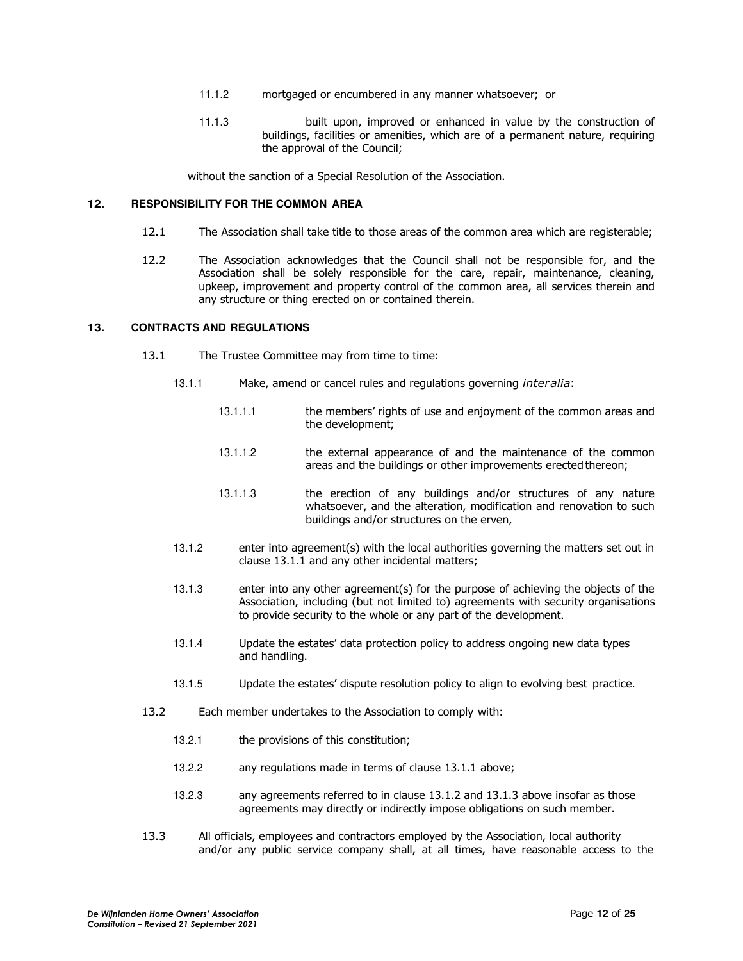- 11.1.2 mortgaged or encumbered in any manner whatsoever; or
- 11.1.3 built upon, improved or enhanced in value by the construction of buildings, facilities or amenities, which are of a permanent nature, requiring the approval of the Council;

without the sanction of a Special Resolution of the Association.

## **12. RESPONSIBILITY FOR THE COMMON AREA**

- 12.1 The Association shall take title to those areas of the common area which are registerable;
- 12.2 The Association acknowledges that the Council shall not be responsible for, and the Association shall be solely responsible for the care, repair, maintenance, cleaning, upkeep, improvement and property control of the common area, all services therein and any structure or thing erected on or contained therein.

## **13. CONTRACTS AND REGULATIONS**

- 13.1 The Trustee Committee may from time to time:
	- 13.1.1 Make, amend or cancel rules and regulations governing *inter alia*:
		- 13.1.1.1 the members' rights of use and enjoyment of the common areas and the development;
		- 13.1.1.2 the external appearance of and the maintenance of the common areas and the buildings or other improvements erected thereon;
		- 13.1.1.3 the erection of any buildings and/or structures of any nature whatsoever, and the alteration, modification and renovation to such buildings and/or structures on the erven,
	- 13.1.2 enter into agreement(s) with the local authorities governing the matters set out in clause 13.1.1 and any other incidental matters;
	- 13.1.3 enter into any other agreement(s) for the purpose of achieving the objects of the Association, including (but not limited to) agreements with security organisations to provide security to the whole or any part of the development.
	- 13.1.4 Update the estates' data protection policy to address ongoing new data types and handling.
	- 13.1.5 Update the estates' dispute resolution policy to align to evolving best practice.
- 13.2 Each member undertakes to the Association to comply with:
	- 13.2.1 the provisions of this constitution;
	- 13.2.2 any regulations made in terms of clause 13.1.1 above;
	- 13.2.3 any agreements referred to in clause 13.1.2 and 13.1.3 above insofar as those agreements may directly or indirectly impose obligations on such member.
- 13.3 All officials, employees and contractors employed by the Association, local authority and/or any public service company shall, at all times, have reasonable access to the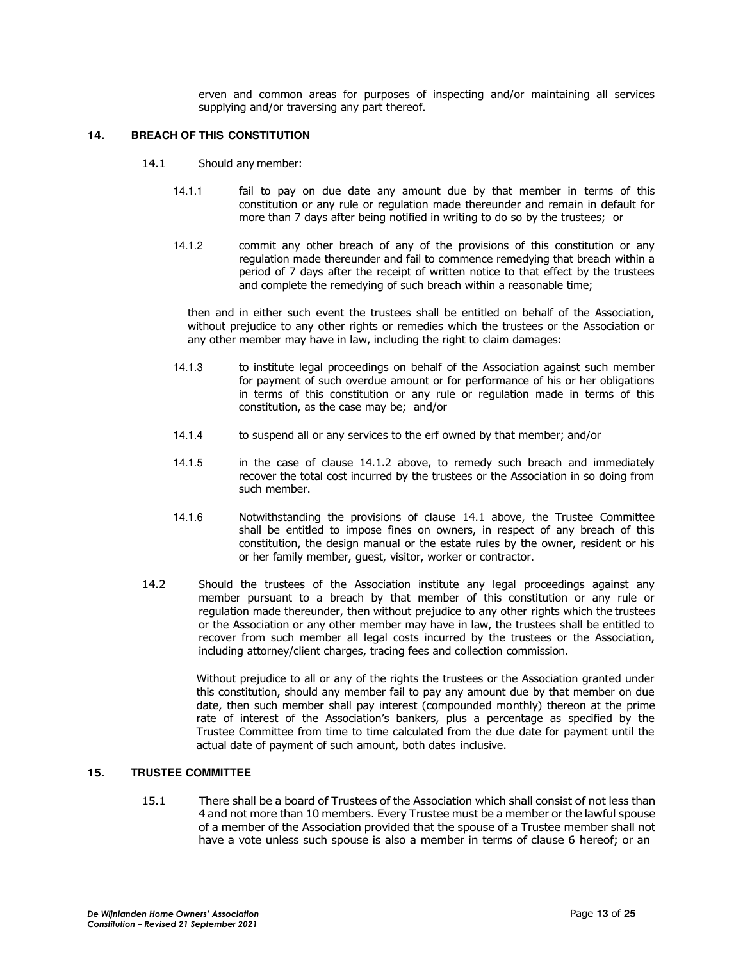erven and common areas for purposes of inspecting and/or maintaining all services supplying and/or traversing any part thereof.

#### **14. BREACH OF THIS CONSTITUTION**

- 14.1 Should any member:
	- 14.1.1 fail to pay on due date any amount due by that member in terms of this constitution or any rule or regulation made thereunder and remain in default for more than 7 days after being notified in writing to do so by the trustees; or
	- 14.1.2 commit any other breach of any of the provisions of this constitution or any regulation made thereunder and fail to commence remedying that breach within a period of 7 days after the receipt of written notice to that effect by the trustees and complete the remedying of such breach within a reasonable time;

then and in either such event the trustees shall be entitled on behalf of the Association, without prejudice to any other rights or remedies which the trustees or the Association or any other member may have in law, including the right to claim damages:

- 14.1.3 to institute legal proceedings on behalf of the Association against such member for payment of such overdue amount or for performance of his or her obligations in terms of this constitution or any rule or regulation made in terms of this constitution, as the case may be; and/or
- 14.1.4 to suspend all or any services to the erf owned by that member; and/or
- 14.1.5 in the case of clause 14.1.2 above, to remedy such breach and immediately recover the total cost incurred by the trustees or the Association in so doing from such member.
- 14.1.6 Notwithstanding the provisions of clause 14.1 above, the Trustee Committee shall be entitled to impose fines on owners, in respect of any breach of this constitution, the design manual or the estate rules by the owner, resident or his or her family member, guest, visitor, worker or contractor.
- 14.2 Should the trustees of the Association institute any legal proceedings against any member pursuant to a breach by that member of this constitution or any rule or regulation made thereunder, then without prejudice to any other rights which the trustees or the Association or any other member may have in law, the trustees shall be entitled to recover from such member all legal costs incurred by the trustees or the Association, including attorney/client charges, tracing fees and collection commission.

Without prejudice to all or any of the rights the trustees or the Association granted under this constitution, should any member fail to pay any amount due by that member on due date, then such member shall pay interest (compounded monthly) thereon at the prime rate of interest of the Association's bankers, plus a percentage as specified by the Trustee Committee from time to time calculated from the due date for payment until the actual date of payment of such amount, both dates inclusive.

#### **15. TRUSTEE COMMITTEE**

15.1 There shall be a board of Trustees of the Association which shall consist of not less than 4 and not more than 10 members. Every Trustee must be a member or the lawful spouse of a member of the Association provided that the spouse of a Trustee member shall not have a vote unless such spouse is also a member in terms of clause 6 hereof; or an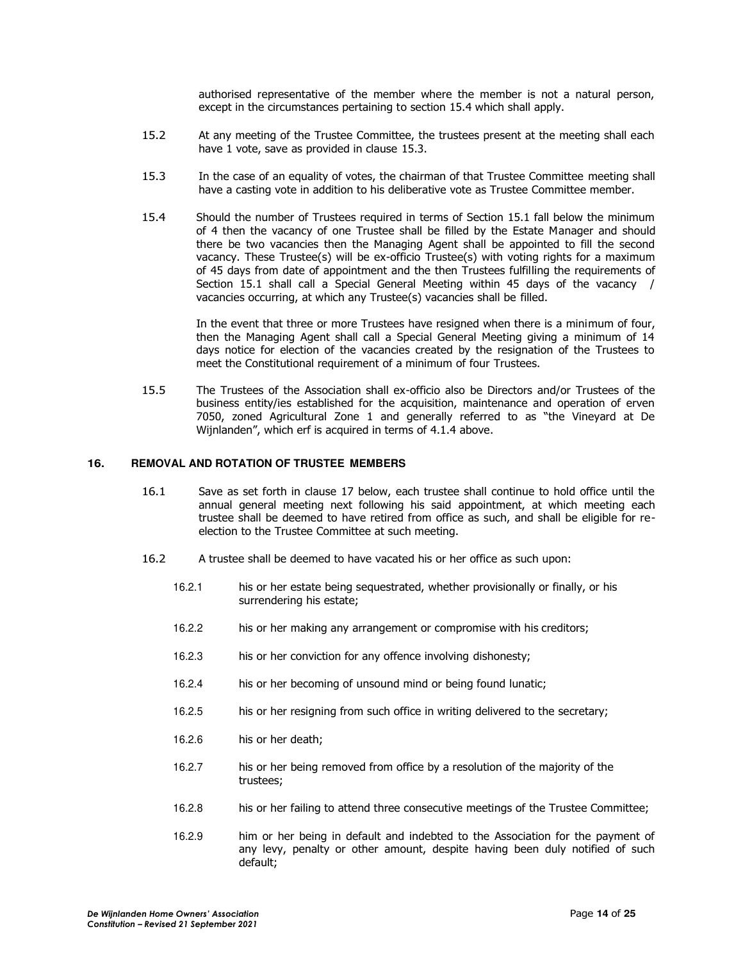authorised representative of the member where the member is not a natural person, except in the circumstances pertaining to section 15.4 which shall apply.

- 15.2 At any meeting of the Trustee Committee, the trustees present at the meeting shall each have 1 vote, save as provided in clause 15.3.
- 15.3 In the case of an equality of votes, the chairman of that Trustee Committee meeting shall have a casting vote in addition to his deliberative vote as Trustee Committee member.
- 15.4 Should the number of Trustees required in terms of Section 15.1 fall below the minimum of 4 then the vacancy of one Trustee shall be filled by the Estate Manager and should there be two vacancies then the Managing Agent shall be appointed to fill the second vacancy. These Trustee(s) will be ex-officio Trustee(s) with voting rights for a maximum of 45 days from date of appointment and the then Trustees fulfilling the requirements of Section 15.1 shall call a Special General Meeting within 45 days of the vacancy / vacancies occurring, at which any Trustee(s) vacancies shall be filled.

In the event that three or more Trustees have resigned when there is a minimum of four, then the Managing Agent shall call a Special General Meeting giving a minimum of 14 days notice for election of the vacancies created by the resignation of the Trustees to meet the Constitutional requirement of a minimum of four Trustees.

15.5 The Trustees of the Association shall ex-officio also be Directors and/or Trustees of the business entity/ies established for the acquisition, maintenance and operation of erven 7050, zoned Agricultural Zone 1 and generally referred to as "the Vineyard at De Wijnlanden", which erf is acquired in terms of 4.1.4 above.

## **16. REMOVAL AND ROTATION OF TRUSTEE MEMBERS**

- 16.1 Save as set forth in clause 17 below, each trustee shall continue to hold office until the annual general meeting next following his said appointment, at which meeting each trustee shall be deemed to have retired from office as such, and shall be eligible for reelection to the Trustee Committee at such meeting.
- 16.2 A trustee shall be deemed to have vacated his or her office as such upon:
	- 16.2.1 his or her estate being sequestrated, whether provisionally or finally, or his surrendering his estate;
	- 16.2.2 his or her making any arrangement or compromise with his creditors;
	- 16.2.3 his or her conviction for any offence involving dishonesty;
	- 16.2.4 his or her becoming of unsound mind or being found lunatic;
	- 16.2.5 his or her resigning from such office in writing delivered to the secretary;
	- 16.2.6 his or her death;
	- 16.2.7 his or her being removed from office by a resolution of the majority of the trustees;
	- 16.2.8 his or her failing to attend three consecutive meetings of the Trustee Committee;
	- 16.2.9 him or her being in default and indebted to the Association for the payment of any levy, penalty or other amount, despite having been duly notified of such default;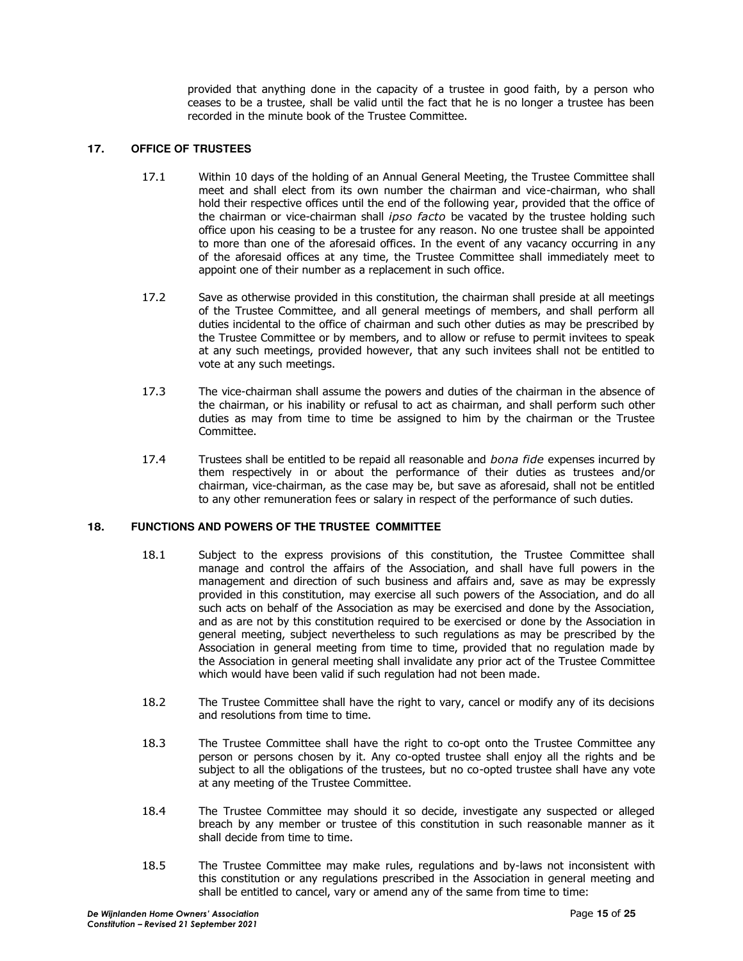provided that anything done in the capacity of a trustee in good faith, by a person who ceases to be a trustee, shall be valid until the fact that he is no longer a trustee has been recorded in the minute book of the Trustee Committee.

## **17. OFFICE OF TRUSTEES**

- 17.1 Within 10 days of the holding of an Annual General Meeting, the Trustee Committee shall meet and shall elect from its own number the chairman and vice-chairman, who shall hold their respective offices until the end of the following year, provided that the office of the chairman or vice-chairman shall *ipso facto* be vacated by the trustee holding such office upon his ceasing to be a trustee for any reason. No one trustee shall be appointed to more than one of the aforesaid offices. In the event of any vacancy occurring in any of the aforesaid offices at any time, the Trustee Committee shall immediately meet to appoint one of their number as a replacement in such office.
- 17.2 Save as otherwise provided in this constitution, the chairman shall preside at all meetings of the Trustee Committee, and all general meetings of members, and shall perform all duties incidental to the office of chairman and such other duties as may be prescribed by the Trustee Committee or by members, and to allow or refuse to permit invitees to speak at any such meetings, provided however, that any such invitees shall not be entitled to vote at any such meetings.
- 17.3 The vice-chairman shall assume the powers and duties of the chairman in the absence of the chairman, or his inability or refusal to act as chairman, and shall perform such other duties as may from time to time be assigned to him by the chairman or the Trustee Committee.
- 17.4 Trustees shall be entitled to be repaid all reasonable and *bona fide* expenses incurred by them respectively in or about the performance of their duties as trustees and/or chairman, vice-chairman, as the case may be, but save as aforesaid, shall not be entitled to any other remuneration fees or salary in respect of the performance of such duties.

## **18. FUNCTIONS AND POWERS OF THE TRUSTEE COMMITTEE**

- 18.1 Subject to the express provisions of this constitution, the Trustee Committee shall manage and control the affairs of the Association, and shall have full powers in the management and direction of such business and affairs and, save as may be expressly provided in this constitution, may exercise all such powers of the Association, and do all such acts on behalf of the Association as may be exercised and done by the Association, and as are not by this constitution required to be exercised or done by the Association in general meeting, subject nevertheless to such regulations as may be prescribed by the Association in general meeting from time to time, provided that no regulation made by the Association in general meeting shall invalidate any prior act of the Trustee Committee which would have been valid if such regulation had not been made.
- 18.2 The Trustee Committee shall have the right to vary, cancel or modify any of its decisions and resolutions from time to time.
- 18.3 The Trustee Committee shall have the right to co-opt onto the Trustee Committee any person or persons chosen by it. Any co-opted trustee shall enjoy all the rights and be subject to all the obligations of the trustees, but no co-opted trustee shall have any vote at any meeting of the Trustee Committee.
- 18.4 The Trustee Committee may should it so decide, investigate any suspected or alleged breach by any member or trustee of this constitution in such reasonable manner as it shall decide from time to time.
- 18.5 The Trustee Committee may make rules, regulations and by-laws not inconsistent with this constitution or any regulations prescribed in the Association in general meeting and shall be entitled to cancel, vary or amend any of the same from time to time: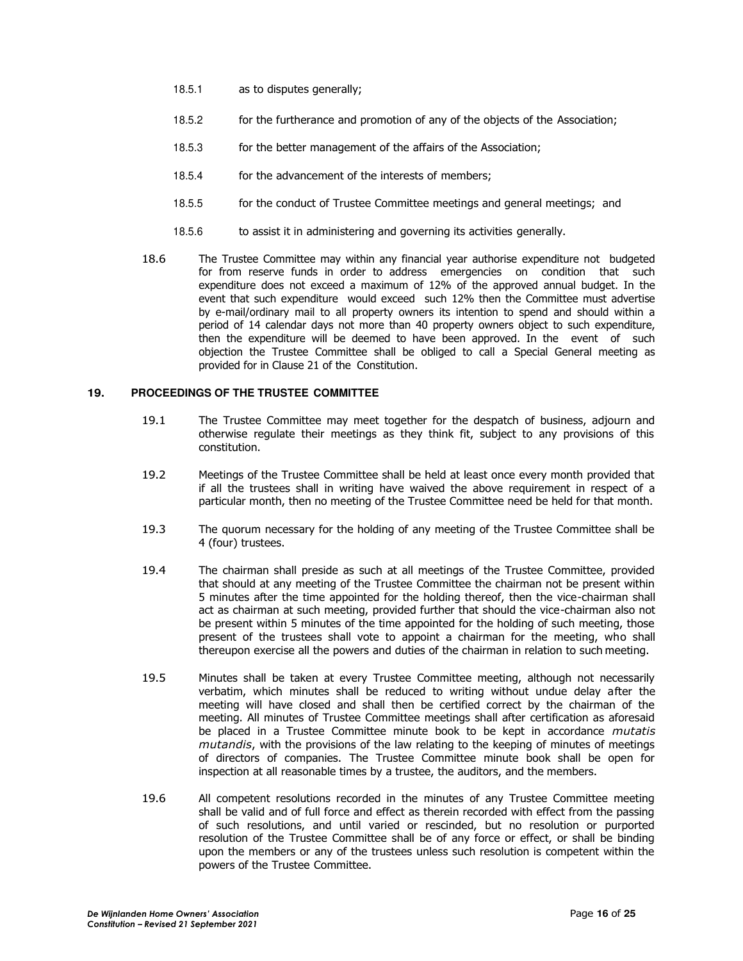- 18.5.1 as to disputes generally;
- 18.5.2 for the furtherance and promotion of any of the objects of the Association;
- 18.5.3 for the better management of the affairs of the Association;
- 18.5.4 for the advancement of the interests of members;
- 18.5.5 for the conduct of Trustee Committee meetings and general meetings; and
- 18.5.6 to assist it in administering and governing its activities generally.
- 18.6 The Trustee Committee may within any financial year authorise expenditure not budgeted for from reserve funds in order to address emergencies on condition that such expenditure does not exceed a maximum of 12% of the approved annual budget. In the event that such expenditure would exceed such 12% then the Committee must advertise by e-mail/ordinary mail to all property owners its intention to spend and should within a period of 14 calendar days not more than 40 property owners object to such expenditure, then the expenditure will be deemed to have been approved. In the event of such objection the Trustee Committee shall be obliged to call a Special General meeting as provided for in Clause 21 of the Constitution.

#### **19. PROCEEDINGS OF THE TRUSTEE COMMITTEE**

- 19.1 The Trustee Committee may meet together for the despatch of business, adjourn and otherwise regulate their meetings as they think fit, subject to any provisions of this constitution.
- 19.2 Meetings of the Trustee Committee shall be held at least once every month provided that if all the trustees shall in writing have waived the above requirement in respect of a particular month, then no meeting of the Trustee Committee need be held for that month.
- 19.3 The quorum necessary for the holding of any meeting of the Trustee Committee shall be 4 (four) trustees.
- 19.4 The chairman shall preside as such at all meetings of the Trustee Committee, provided that should at any meeting of the Trustee Committee the chairman not be present within 5 minutes after the time appointed for the holding thereof, then the vice-chairman shall act as chairman at such meeting, provided further that should the vice-chairman also not be present within 5 minutes of the time appointed for the holding of such meeting, those present of the trustees shall vote to appoint a chairman for the meeting, who shall thereupon exercise all the powers and duties of the chairman in relation to such meeting.
- 19.5 Minutes shall be taken at every Trustee Committee meeting, although not necessarily verbatim, which minutes shall be reduced to writing without undue delay after the meeting will have closed and shall then be certified correct by the chairman of the meeting. All minutes of Trustee Committee meetings shall after certification as aforesaid be placed in a Trustee Committee minute book to be kept in accordance *mutatis mutandis*, with the provisions of the law relating to the keeping of minutes of meetings of directors of companies. The Trustee Committee minute book shall be open for inspection at all reasonable times by a trustee, the auditors, and the members.
- 19.6 All competent resolutions recorded in the minutes of any Trustee Committee meeting shall be valid and of full force and effect as therein recorded with effect from the passing of such resolutions, and until varied or rescinded, but no resolution or purported resolution of the Trustee Committee shall be of any force or effect, or shall be binding upon the members or any of the trustees unless such resolution is competent within the powers of the Trustee Committee.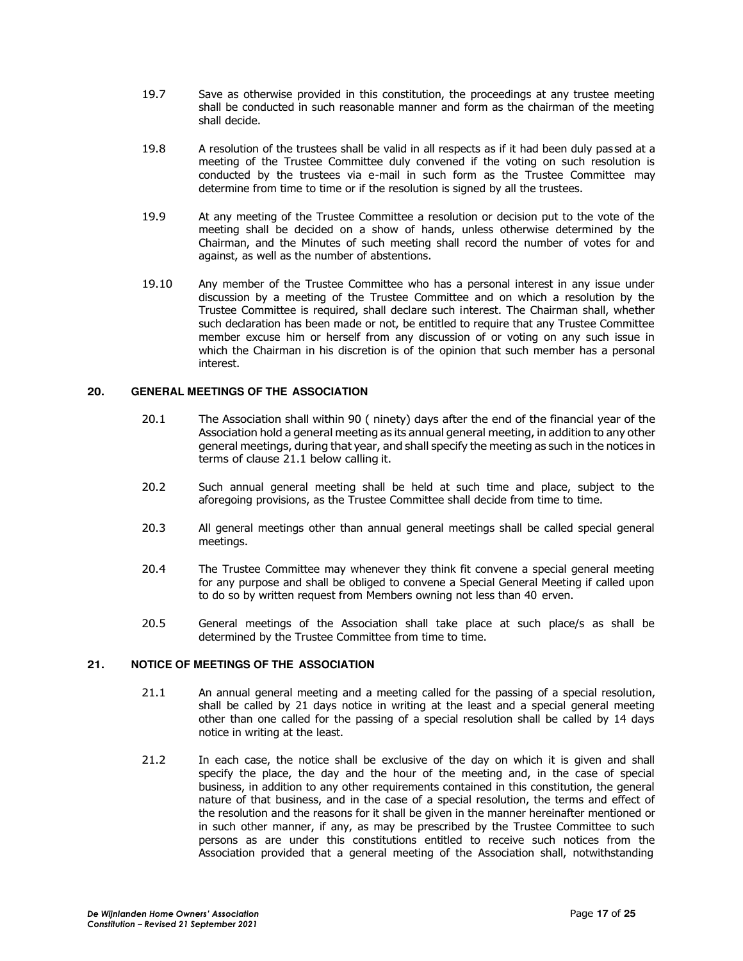- 19.7 Save as otherwise provided in this constitution, the proceedings at any trustee meeting shall be conducted in such reasonable manner and form as the chairman of the meeting shall decide.
- 19.8 A resolution of the trustees shall be valid in all respects as if it had been duly passed at a meeting of the Trustee Committee duly convened if the voting on such resolution is conducted by the trustees via e-mail in such form as the Trustee Committee may determine from time to time or if the resolution is signed by all the trustees.
- 19.9 At any meeting of the Trustee Committee a resolution or decision put to the vote of the meeting shall be decided on a show of hands, unless otherwise determined by the Chairman, and the Minutes of such meeting shall record the number of votes for and against, as well as the number of abstentions.
- 19.10 Any member of the Trustee Committee who has a personal interest in any issue under discussion by a meeting of the Trustee Committee and on which a resolution by the Trustee Committee is required, shall declare such interest. The Chairman shall, whether such declaration has been made or not, be entitled to require that any Trustee Committee member excuse him or herself from any discussion of or voting on any such issue in which the Chairman in his discretion is of the opinion that such member has a personal interest.

## **20. GENERAL MEETINGS OF THE ASSOCIATION**

- 20.1 The Association shall within 90 ( ninety) days after the end of the financial year of the Association hold a general meeting as its annual general meeting, in addition to any other general meetings, during that year, and shall specify the meeting as such in the notices in terms of clause 21.1 below calling it.
- 20.2 Such annual general meeting shall be held at such time and place, subject to the aforegoing provisions, as the Trustee Committee shall decide from time to time.
- 20.3 All general meetings other than annual general meetings shall be called special general meetings.
- 20.4 The Trustee Committee may whenever they think fit convene a special general meeting for any purpose and shall be obliged to convene a Special General Meeting if called upon to do so by written request from Members owning not less than 40 erven.
- 20.5 General meetings of the Association shall take place at such place/s as shall be determined by the Trustee Committee from time to time.

## **21. NOTICE OF MEETINGS OF THE ASSOCIATION**

- 21.1 An annual general meeting and a meeting called for the passing of a special resolution, shall be called by 21 days notice in writing at the least and a special general meeting other than one called for the passing of a special resolution shall be called by 14 days notice in writing at the least.
- 21.2 In each case, the notice shall be exclusive of the day on which it is given and shall specify the place, the day and the hour of the meeting and, in the case of special business, in addition to any other requirements contained in this constitution, the general nature of that business, and in the case of a special resolution, the terms and effect of the resolution and the reasons for it shall be given in the manner hereinafter mentioned or in such other manner, if any, as may be prescribed by the Trustee Committee to such persons as are under this constitutions entitled to receive such notices from the Association provided that a general meeting of the Association shall, notwithstanding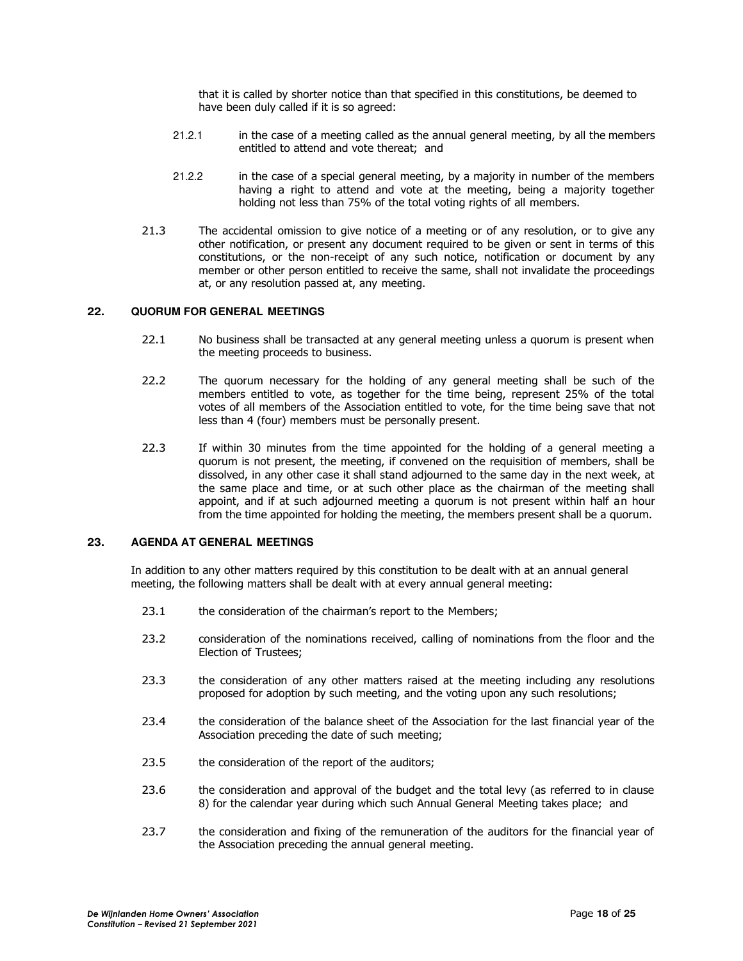that it is called by shorter notice than that specified in this constitutions, be deemed to have been duly called if it is so agreed:

- 21.2.1 in the case of a meeting called as the annual general meeting, by all the members entitled to attend and vote thereat; and
- 21.2.2 in the case of a special general meeting, by a majority in number of the members having a right to attend and vote at the meeting, being a majority together holding not less than 75% of the total voting rights of all members.
- 21.3 The accidental omission to give notice of a meeting or of any resolution, or to give any other notification, or present any document required to be given or sent in terms of this constitutions, or the non-receipt of any such notice, notification or document by any member or other person entitled to receive the same, shall not invalidate the proceedings at, or any resolution passed at, any meeting.

## **22. QUORUM FOR GENERAL MEETINGS**

- 22.1 No business shall be transacted at any general meeting unless a quorum is present when the meeting proceeds to business.
- 22.2 The quorum necessary for the holding of any general meeting shall be such of the members entitled to vote, as together for the time being, represent 25% of the total votes of all members of the Association entitled to vote, for the time being save that not less than 4 (four) members must be personally present.
- 22.3 If within 30 minutes from the time appointed for the holding of a general meeting a quorum is not present, the meeting, if convened on the requisition of members, shall be dissolved, in any other case it shall stand adjourned to the same day in the next week, at the same place and time, or at such other place as the chairman of the meeting shall appoint, and if at such adjourned meeting a quorum is not present within half an hour from the time appointed for holding the meeting, the members present shall be a quorum.

#### **23. AGENDA AT GENERAL MEETINGS**

In addition to any other matters required by this constitution to be dealt with at an annual general meeting, the following matters shall be dealt with at every annual general meeting:

- 23.1 the consideration of the chairman's report to the Members;
- 23.2 consideration of the nominations received, calling of nominations from the floor and the Election of Trustees;
- 23.3 the consideration of any other matters raised at the meeting including any resolutions proposed for adoption by such meeting, and the voting upon any such resolutions;
- 23.4 the consideration of the balance sheet of the Association for the last financial year of the Association preceding the date of such meeting;
- 23.5 the consideration of the report of the auditors;
- 23.6 the consideration and approval of the budget and the total levy (as referred to in clause 8) for the calendar year during which such Annual General Meeting takes place; and
- 23.7 the consideration and fixing of the remuneration of the auditors for the financial year of the Association preceding the annual general meeting.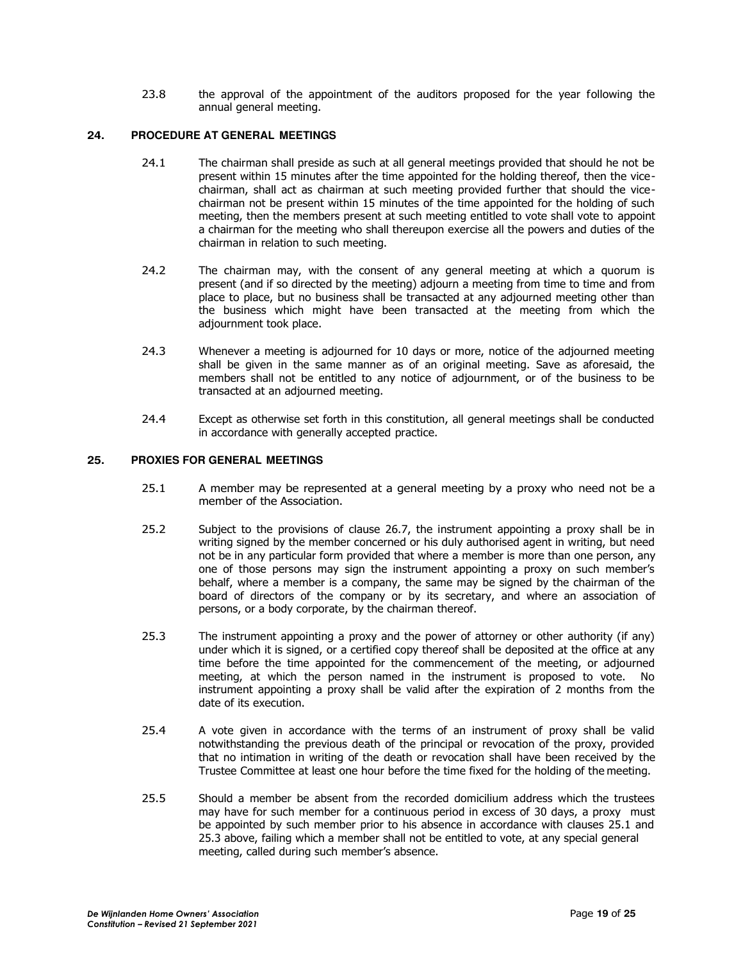23.8 the approval of the appointment of the auditors proposed for the year following the annual general meeting.

## **24. PROCEDURE AT GENERAL MEETINGS**

- 24.1 The chairman shall preside as such at all general meetings provided that should he not be present within 15 minutes after the time appointed for the holding thereof, then the vicechairman, shall act as chairman at such meeting provided further that should the vicechairman not be present within 15 minutes of the time appointed for the holding of such meeting, then the members present at such meeting entitled to vote shall vote to appoint a chairman for the meeting who shall thereupon exercise all the powers and duties of the chairman in relation to such meeting.
- 24.2 The chairman may, with the consent of any general meeting at which a quorum is present (and if so directed by the meeting) adjourn a meeting from time to time and from place to place, but no business shall be transacted at any adjourned meeting other than the business which might have been transacted at the meeting from which the adjournment took place.
- 24.3 Whenever a meeting is adjourned for 10 days or more, notice of the adjourned meeting shall be given in the same manner as of an original meeting. Save as aforesaid, the members shall not be entitled to any notice of adjournment, or of the business to be transacted at an adjourned meeting.
- 24.4 Except as otherwise set forth in this constitution, all general meetings shall be conducted in accordance with generally accepted practice.

## **25. PROXIES FOR GENERAL MEETINGS**

- 25.1 A member may be represented at a general meeting by a proxy who need not be a member of the Association.
- 25.2 Subject to the provisions of clause 26.7, the instrument appointing a proxy shall be in writing signed by the member concerned or his duly authorised agent in writing, but need not be in any particular form provided that where a member is more than one person, any one of those persons may sign the instrument appointing a proxy on such member's behalf, where a member is a company, the same may be signed by the chairman of the board of directors of the company or by its secretary, and where an association of persons, or a body corporate, by the chairman thereof.
- 25.3 The instrument appointing a proxy and the power of attorney or other authority (if any) under which it is signed, or a certified copy thereof shall be deposited at the office at any time before the time appointed for the commencement of the meeting, or adjourned meeting, at which the person named in the instrument is proposed to vote. No instrument appointing a proxy shall be valid after the expiration of 2 months from the date of its execution.
- 25.4 A vote given in accordance with the terms of an instrument of proxy shall be valid notwithstanding the previous death of the principal or revocation of the proxy, provided that no intimation in writing of the death or revocation shall have been received by the Trustee Committee at least one hour before the time fixed for the holding of the meeting.
- 25.5 Should a member be absent from the recorded domicilium address which the trustees may have for such member for a continuous period in excess of 30 days, a proxy must be appointed by such member prior to his absence in accordance with clauses 25.1 and 25.3 above, failing which a member shall not be entitled to vote, at any special general meeting, called during such member's absence.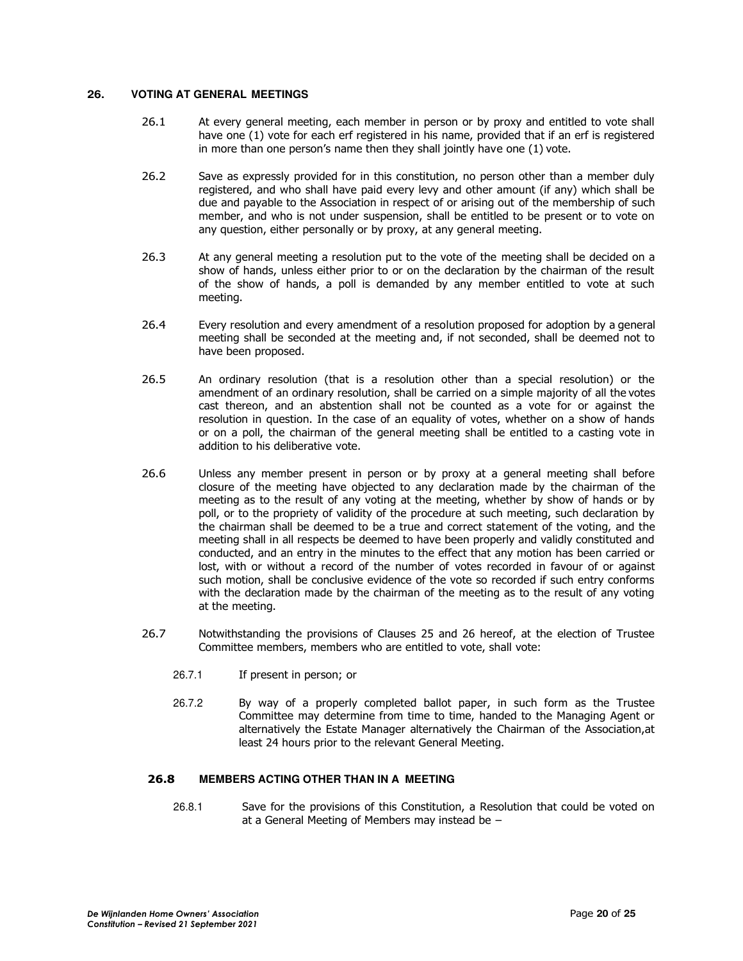## **26. VOTING AT GENERAL MEETINGS**

- 26.1 At every general meeting, each member in person or by proxy and entitled to vote shall have one (1) vote for each erf registered in his name, provided that if an erf is registered in more than one person's name then they shall jointly have one (1) vote.
- 26.2 Save as expressly provided for in this constitution, no person other than a member duly registered, and who shall have paid every levy and other amount (if any) which shall be due and payable to the Association in respect of or arising out of the membership of such member, and who is not under suspension, shall be entitled to be present or to vote on any question, either personally or by proxy, at any general meeting.
- 26.3 At any general meeting a resolution put to the vote of the meeting shall be decided on a show of hands, unless either prior to or on the declaration by the chairman of the result of the show of hands, a poll is demanded by any member entitled to vote at such meeting.
- 26.4 Every resolution and every amendment of a resolution proposed for adoption by a general meeting shall be seconded at the meeting and, if not seconded, shall be deemed not to have been proposed.
- 26.5 An ordinary resolution (that is a resolution other than a special resolution) or the amendment of an ordinary resolution, shall be carried on a simple majority of all the votes cast thereon, and an abstention shall not be counted as a vote for or against the resolution in question. In the case of an equality of votes, whether on a show of hands or on a poll, the chairman of the general meeting shall be entitled to a casting vote in addition to his deliberative vote.
- 26.6 Unless any member present in person or by proxy at a general meeting shall before closure of the meeting have objected to any declaration made by the chairman of the meeting as to the result of any voting at the meeting, whether by show of hands or by poll, or to the propriety of validity of the procedure at such meeting, such declaration by the chairman shall be deemed to be a true and correct statement of the voting, and the meeting shall in all respects be deemed to have been properly and validly constituted and conducted, and an entry in the minutes to the effect that any motion has been carried or lost, with or without a record of the number of votes recorded in favour of or against such motion, shall be conclusive evidence of the vote so recorded if such entry conforms with the declaration made by the chairman of the meeting as to the result of any voting at the meeting.
- 26.7 Notwithstanding the provisions of Clauses 25 and 26 hereof, at the election of Trustee Committee members, members who are entitled to vote, shall vote:
	- 26.7.1 If present in person; or
	- 26.7.2 By way of a properly completed ballot paper, in such form as the Trustee Committee may determine from time to time, handed to the Managing Agent or alternatively the Estate Manager alternatively the Chairman of the Association,at least 24 hours prior to the relevant General Meeting.

## **26.8 MEMBERS ACTING OTHER THAN IN A MEETING**

26.8.1 Save for the provisions of this Constitution, a Resolution that could be voted on at a General Meeting of Members may instead be –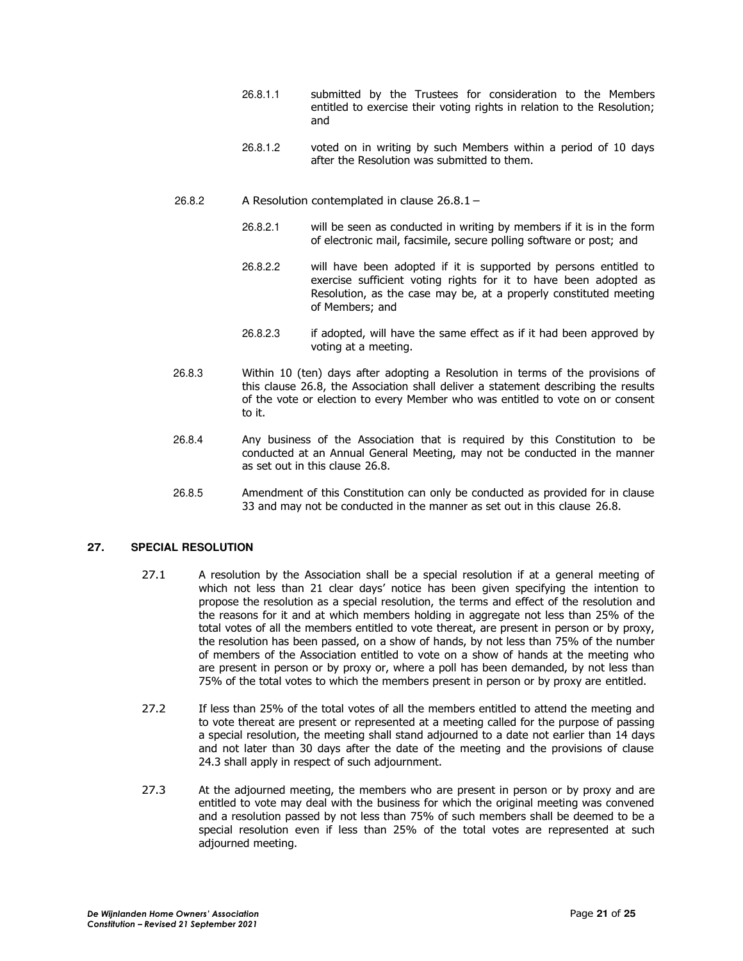- 26.8.1.1 submitted by the Trustees for consideration to the Members entitled to exercise their voting rights in relation to the Resolution; and
- 26.8.1.2 voted on in writing by such Members within a period of 10 days after the Resolution was submitted to them.
- 26.8.2 A Resolution contemplated in clause 26.8.1
	- 26.8.2.1 will be seen as conducted in writing by members if it is in the form of electronic mail, facsimile, secure polling software or post; and
		- 26.8.2.2 will have been adopted if it is supported by persons entitled to exercise sufficient voting rights for it to have been adopted as Resolution, as the case may be, at a properly constituted meeting of Members; and
	- 26.8.2.3 if adopted, will have the same effect as if it had been approved by voting at a meeting.
- 26.8.3 Within 10 (ten) days after adopting a Resolution in terms of the provisions of this clause 26.8, the Association shall deliver a statement describing the results of the vote or election to every Member who was entitled to vote on or consent to it.
- 26.8.4 Any business of the Association that is required by this Constitution to be conducted at an Annual General Meeting, may not be conducted in the manner as set out in this clause 26.8.
- 26.8.5 Amendment of this Constitution can only be conducted as provided for in clause 33 and may not be conducted in the manner as set out in this clause 26.8.

## **27. SPECIAL RESOLUTION**

- 27.1 A resolution by the Association shall be a special resolution if at a general meeting of which not less than 21 clear days' notice has been given specifying the intention to propose the resolution as a special resolution, the terms and effect of the resolution and the reasons for it and at which members holding in aggregate not less than 25% of the total votes of all the members entitled to vote thereat, are present in person or by proxy, the resolution has been passed, on a show of hands, by not less than 75% of the number of members of the Association entitled to vote on a show of hands at the meeting who are present in person or by proxy or, where a poll has been demanded, by not less than 75% of the total votes to which the members present in person or by proxy are entitled.
- 27.2 If less than 25% of the total votes of all the members entitled to attend the meeting and to vote thereat are present or represented at a meeting called for the purpose of passing a special resolution, the meeting shall stand adjourned to a date not earlier than 14 days and not later than 30 days after the date of the meeting and the provisions of clause 24.3 shall apply in respect of such adjournment.
- 27.3 At the adjourned meeting, the members who are present in person or by proxy and are entitled to vote may deal with the business for which the original meeting was convened and a resolution passed by not less than 75% of such members shall be deemed to be a special resolution even if less than 25% of the total votes are represented at such adjourned meeting.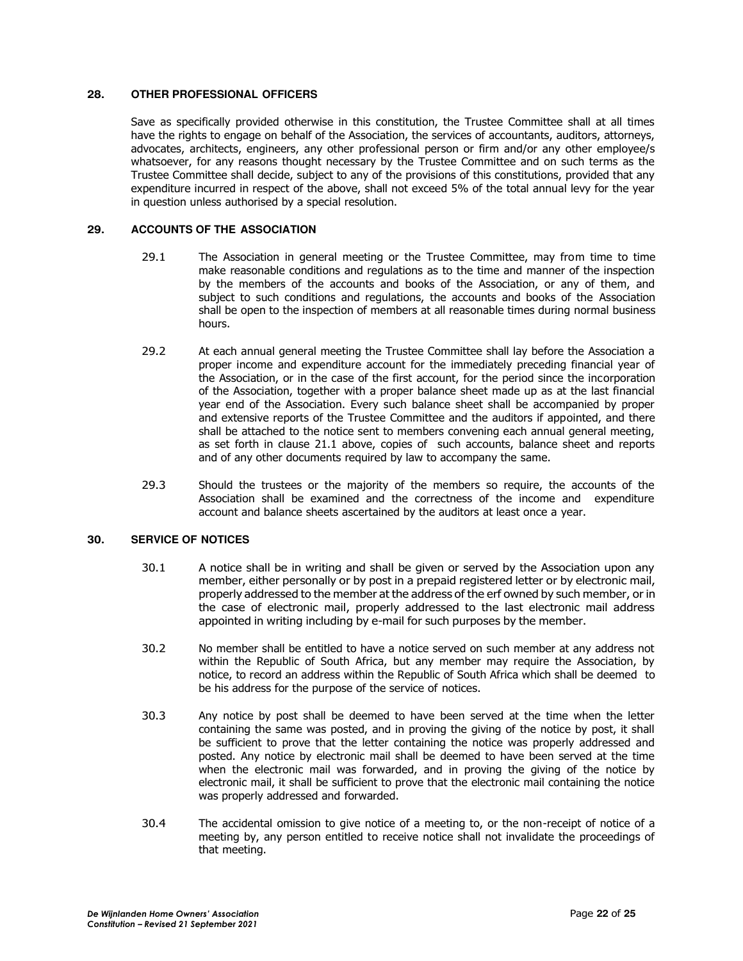## **28. OTHER PROFESSIONAL OFFICERS**

Save as specifically provided otherwise in this constitution, the Trustee Committee shall at all times have the rights to engage on behalf of the Association, the services of accountants, auditors, attorneys, advocates, architects, engineers, any other professional person or firm and/or any other employee/s whatsoever, for any reasons thought necessary by the Trustee Committee and on such terms as the Trustee Committee shall decide, subject to any of the provisions of this constitutions, provided that any expenditure incurred in respect of the above, shall not exceed 5% of the total annual levy for the year in question unless authorised by a special resolution.

## **29. ACCOUNTS OF THE ASSOCIATION**

- 29.1 The Association in general meeting or the Trustee Committee, may from time to time make reasonable conditions and regulations as to the time and manner of the inspection by the members of the accounts and books of the Association, or any of them, and subject to such conditions and regulations, the accounts and books of the Association shall be open to the inspection of members at all reasonable times during normal business hours.
- 29.2 At each annual general meeting the Trustee Committee shall lay before the Association a proper income and expenditure account for the immediately preceding financial year of the Association, or in the case of the first account, for the period since the incorporation of the Association, together with a proper balance sheet made up as at the last financial year end of the Association. Every such balance sheet shall be accompanied by proper and extensive reports of the Trustee Committee and the auditors if appointed, and there shall be attached to the notice sent to members convening each annual general meeting, as set forth in clause 21.1 above, copies of such accounts, balance sheet and reports and of any other documents required by law to accompany the same.
- 29.3 Should the trustees or the majority of the members so require, the accounts of the Association shall be examined and the correctness of the income and expenditure account and balance sheets ascertained by the auditors at least once a year.

## **30. SERVICE OF NOTICES**

- 30.1 A notice shall be in writing and shall be given or served by the Association upon any member, either personally or by post in a prepaid registered letter or by electronic mail, properly addressed to the member at the address of the erf owned by such member, or in the case of electronic mail, properly addressed to the last electronic mail address appointed in writing including by e-mail for such purposes by the member.
- 30.2 No member shall be entitled to have a notice served on such member at any address not within the Republic of South Africa, but any member may require the Association, by notice, to record an address within the Republic of South Africa which shall be deemed to be his address for the purpose of the service of notices.
- 30.3 Any notice by post shall be deemed to have been served at the time when the letter containing the same was posted, and in proving the giving of the notice by post, it shall be sufficient to prove that the letter containing the notice was properly addressed and posted. Any notice by electronic mail shall be deemed to have been served at the time when the electronic mail was forwarded, and in proving the giving of the notice by electronic mail, it shall be sufficient to prove that the electronic mail containing the notice was properly addressed and forwarded.
- 30.4 The accidental omission to give notice of a meeting to, or the non-receipt of notice of a meeting by, any person entitled to receive notice shall not invalidate the proceedings of that meeting.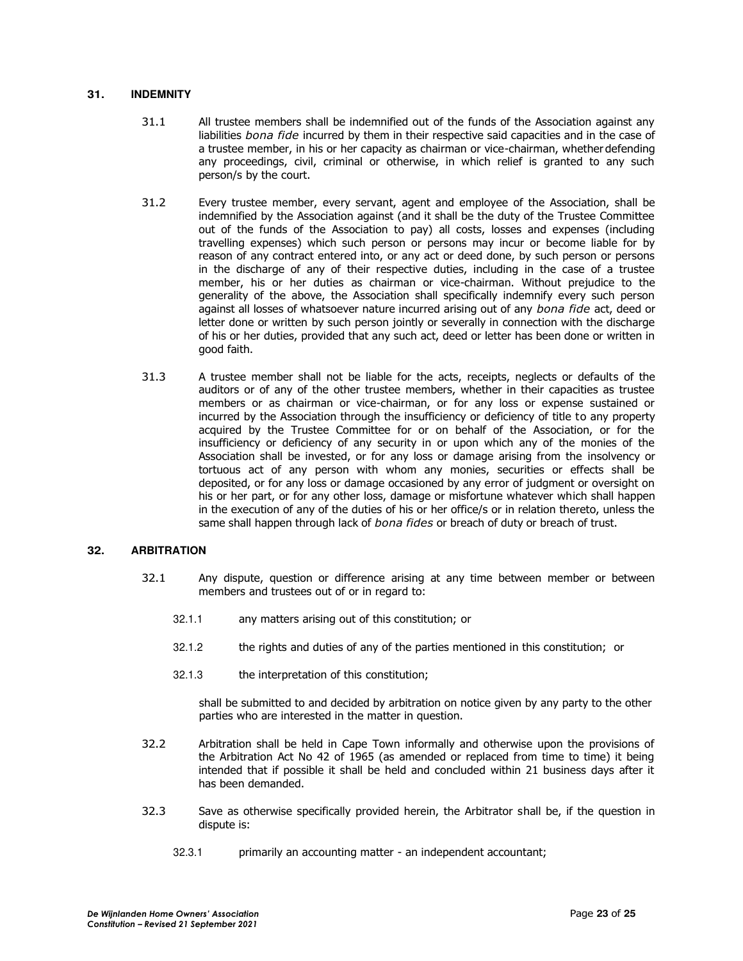## **31. INDEMNITY**

- 31.1 All trustee members shall be indemnified out of the funds of the Association against any liabilities *bona fide* incurred by them in their respective said capacities and in the case of a trustee member, in his or her capacity as chairman or vice-chairman, whether defending any proceedings, civil, criminal or otherwise, in which relief is granted to any such person/s by the court.
- 31.2 Every trustee member, every servant, agent and employee of the Association, shall be indemnified by the Association against (and it shall be the duty of the Trustee Committee out of the funds of the Association to pay) all costs, losses and expenses (including travelling expenses) which such person or persons may incur or become liable for by reason of any contract entered into, or any act or deed done, by such person or persons in the discharge of any of their respective duties, including in the case of a trustee member, his or her duties as chairman or vice-chairman. Without prejudice to the generality of the above, the Association shall specifically indemnify every such person against all losses of whatsoever nature incurred arising out of any *bona fide* act, deed or letter done or written by such person jointly or severally in connection with the discharge of his or her duties, provided that any such act, deed or letter has been done or written in good faith.
- 31.3 A trustee member shall not be liable for the acts, receipts, neglects or defaults of the auditors or of any of the other trustee members, whether in their capacities as trustee members or as chairman or vice-chairman, or for any loss or expense sustained or incurred by the Association through the insufficiency or deficiency of title to any property acquired by the Trustee Committee for or on behalf of the Association, or for the insufficiency or deficiency of any security in or upon which any of the monies of the Association shall be invested, or for any loss or damage arising from the insolvency or tortuous act of any person with whom any monies, securities or effects shall be deposited, or for any loss or damage occasioned by any error of judgment or oversight on his or her part, or for any other loss, damage or misfortune whatever which shall happen in the execution of any of the duties of his or her office/s or in relation thereto, unless the same shall happen through lack of *bona fides* or breach of duty or breach of trust.

## **32. ARBITRATION**

- 32.1 Any dispute, question or difference arising at any time between member or between members and trustees out of or in regard to:
	- 32.1.1 any matters arising out of this constitution; or
	- 32.1.2 the rights and duties of any of the parties mentioned in this constitution; or
	- 32.1.3 the interpretation of this constitution;

shall be submitted to and decided by arbitration on notice given by any party to the other parties who are interested in the matter in question.

- 32.2 Arbitration shall be held in Cape Town informally and otherwise upon the provisions of the Arbitration Act No 42 of 1965 (as amended or replaced from time to time) it being intended that if possible it shall be held and concluded within 21 business days after it has been demanded.
- 32.3 Save as otherwise specifically provided herein, the Arbitrator shall be, if the question in dispute is:
	- 32.3.1 primarily an accounting matter an independent accountant;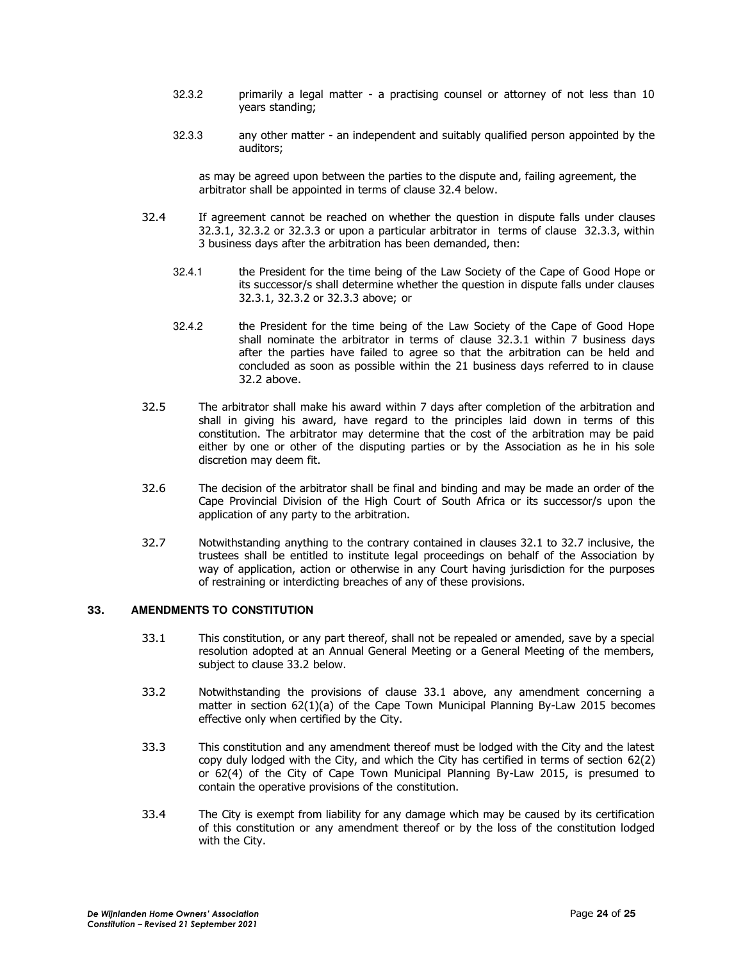- 32.3.2 primarily a legal matter a practising counsel or attorney of not less than 10 years standing;
- 32.3.3 any other matter an independent and suitably qualified person appointed by the auditors;

as may be agreed upon between the parties to the dispute and, failing agreement, the arbitrator shall be appointed in terms of clause 32.4 below.

- 32.4 If agreement cannot be reached on whether the question in dispute falls under clauses 32.3.1, 32.3.2 or 32.3.3 or upon a particular arbitrator in terms of clause 32.3.3, within 3 business days after the arbitration has been demanded, then:
	- 32.4.1 the President for the time being of the Law Society of the Cape of Good Hope or its successor/s shall determine whether the question in dispute falls under clauses 32.3.1, 32.3.2 or 32.3.3 above; or
	- 32.4.2 the President for the time being of the Law Society of the Cape of Good Hope shall nominate the arbitrator in terms of clause 32.3.1 within 7 business days after the parties have failed to agree so that the arbitration can be held and concluded as soon as possible within the 21 business days referred to in clause 32.2 above.
- 32.5 The arbitrator shall make his award within 7 days after completion of the arbitration and shall in giving his award, have regard to the principles laid down in terms of this constitution. The arbitrator may determine that the cost of the arbitration may be paid either by one or other of the disputing parties or by the Association as he in his sole discretion may deem fit.
- 32.6 The decision of the arbitrator shall be final and binding and may be made an order of the Cape Provincial Division of the High Court of South Africa or its successor/s upon the application of any party to the arbitration.
- 32.7 Notwithstanding anything to the contrary contained in clauses 32.1 to 32.7 inclusive, the trustees shall be entitled to institute legal proceedings on behalf of the Association by way of application, action or otherwise in any Court having jurisdiction for the purposes of restraining or interdicting breaches of any of these provisions.

## **33. AMENDMENTS TO CONSTITUTION**

- 33.1 This constitution, or any part thereof, shall not be repealed or amended, save by a special resolution adopted at an Annual General Meeting or a General Meeting of the members, subject to clause 33.2 below.
- 33.2 Notwithstanding the provisions of clause 33.1 above, any amendment concerning a matter in section 62(1)(a) of the Cape Town Municipal Planning By-Law 2015 becomes effective only when certified by the City.
- 33.3 This constitution and any amendment thereof must be lodged with the City and the latest copy duly lodged with the City, and which the City has certified in terms of section 62(2) or 62(4) of the City of Cape Town Municipal Planning By-Law 2015, is presumed to contain the operative provisions of the constitution.
- 33.4 The City is exempt from liability for any damage which may be caused by its certification of this constitution or any amendment thereof or by the loss of the constitution lodged with the City.